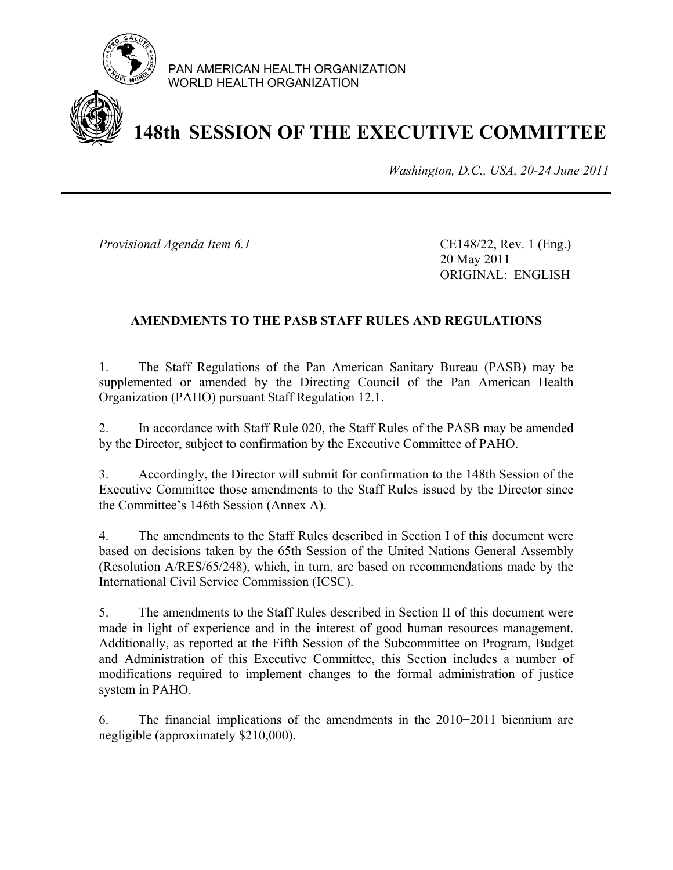

PAN AMERICAN HEALTH ORGANIZATION WORLD HEALTH ORGANIZATION

# **148th SESSION OF THE EXECUTIVE COMMITTEE**

*Washington, D.C., USA, 20-24 June 2011*

*Provisional Agenda Item 6.1* CE148/22, Rev. 1 (Eng.)

 20 May 2011 ORIGINAL: ENGLISH

## **AMENDMENTS TO THE PASB STAFF RULES AND REGULATIONS**

1. The Staff Regulations of the Pan American Sanitary Bureau (PASB) may be supplemented or amended by the Directing Council of the Pan American Health Organization (PAHO) pursuant Staff Regulation 12.1.

2. In accordance with Staff Rule 020, the Staff Rules of the PASB may be amended by the Director, subject to confirmation by the Executive Committee of PAHO.

3. Accordingly, the Director will submit for confirmation to the 148th Session of the Executive Committee those amendments to the Staff Rules issued by the Director since the Committee's 146th Session (Annex A).

4. The amendments to the Staff Rules described in Section I of this document were based on decisions taken by the 65th Session of the United Nations General Assembly (Resolution A/RES/65/248), which, in turn, are based on recommendations made by the International Civil Service Commission (ICSC).

5. The amendments to the Staff Rules described in Section II of this document were made in light of experience and in the interest of good human resources management. Additionally, as reported at the Fifth Session of the Subcommittee on Program, Budget and Administration of this Executive Committee, this Section includes a number of modifications required to implement changes to the formal administration of justice system in PAHO.

6. The financial implications of the amendments in the 2010−2011 biennium are negligible (approximately \$210,000).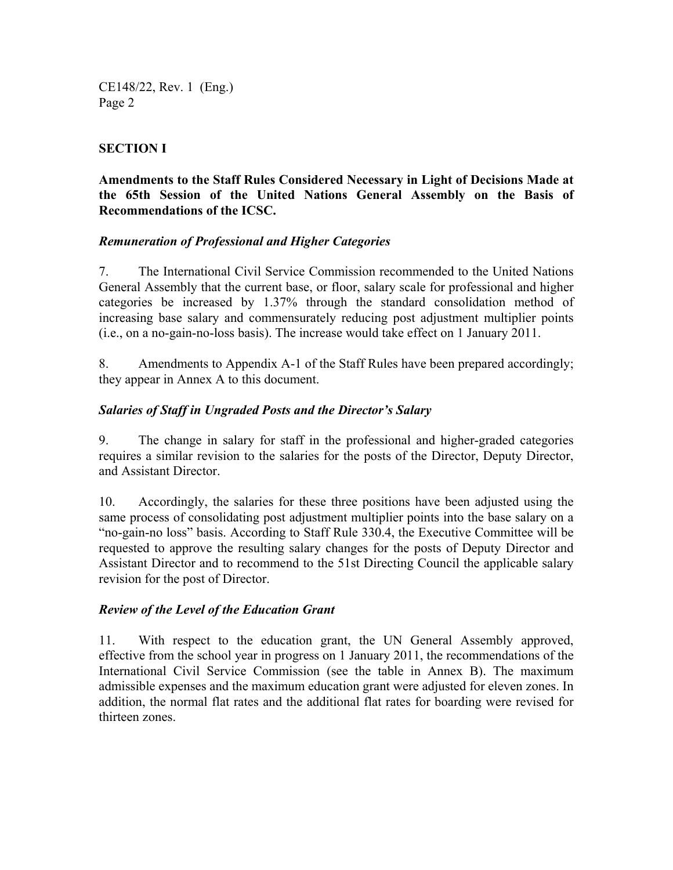# **SECTION I**

### **Amendments to the Staff Rules Considered Necessary in Light of Decisions Made at the 65th Session of the United Nations General Assembly on the Basis of Recommendations of the ICSC.**

### *Remuneration of Professional and Higher Categories*

7. The International Civil Service Commission recommended to the United Nations General Assembly that the current base, or floor, salary scale for professional and higher categories be increased by 1.37% through the standard consolidation method of increasing base salary and commensurately reducing post adjustment multiplier points (i.e., on a no-gain-no-loss basis). The increase would take effect on 1 January 2011.

8. Amendments to Appendix A-1 of the Staff Rules have been prepared accordingly; they appear in Annex A to this document.

### *Salaries of Staff in Ungraded Posts and the Director's Salary*

9. The change in salary for staff in the professional and higher-graded categories requires a similar revision to the salaries for the posts of the Director, Deputy Director, and Assistant Director.

10. Accordingly, the salaries for these three positions have been adjusted using the same process of consolidating post adjustment multiplier points into the base salary on a "no-gain-no loss" basis. According to Staff Rule 330.4, the Executive Committee will be requested to approve the resulting salary changes for the posts of Deputy Director and Assistant Director and to recommend to the 51st Directing Council the applicable salary revision for the post of Director.

### *Review of the Level of the Education Grant*

11. With respect to the education grant, the UN General Assembly approved, effective from the school year in progress on 1 January 2011, the recommendations of the International Civil Service Commission (see the table in Annex B). The maximum admissible expenses and the maximum education grant were adjusted for eleven zones. In addition, the normal flat rates and the additional flat rates for boarding were revised for thirteen zones.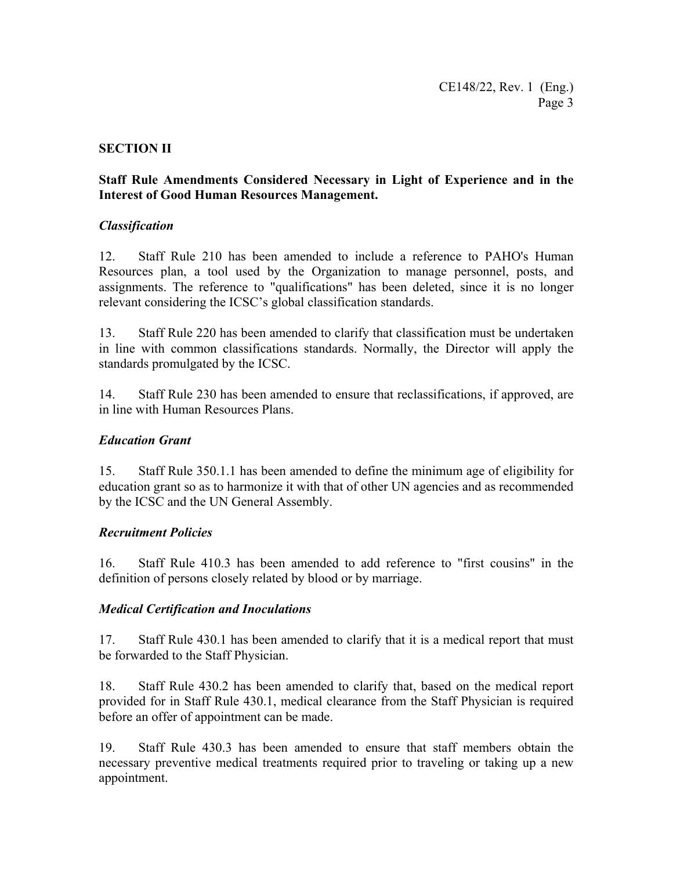### **SECTION II**

### **Staff Rule Amendments Considered Necessary in Light of Experience and in the Interest of Good Human Resources Management.**

### *Classification*

12. Staff Rule 210 has been amended to include a reference to PAHO's Human Resources plan, a tool used by the Organization to manage personnel, posts, and assignments. The reference to "qualifications" has been deleted, since it is no longer relevant considering the ICSC's global classification standards.

13. Staff Rule 220 has been amended to clarify that classification must be undertaken in line with common classifications standards. Normally, the Director will apply the standards promulgated by the ICSC.

14. Staff Rule 230 has been amended to ensure that reclassifications, if approved, are in line with Human Resources Plans.

### *Education Grant*

15. Staff Rule 350.1.1 has been amended to define the minimum age of eligibility for education grant so as to harmonize it with that of other UN agencies and as recommended by the ICSC and the UN General Assembly.

### *Recruitment Policies*

16. Staff Rule 410.3 has been amended to add reference to "first cousins" in the definition of persons closely related by blood or by marriage.

### *Medical Certification and Inoculations*

17. Staff Rule 430.1 has been amended to clarify that it is a medical report that must be forwarded to the Staff Physician.

18. Staff Rule 430.2 has been amended to clarify that, based on the medical report provided for in Staff Rule 430.1, medical clearance from the Staff Physician is required before an offer of appointment can be made.

19. Staff Rule 430.3 has been amended to ensure that staff members obtain the necessary preventive medical treatments required prior to traveling or taking up a new appointment.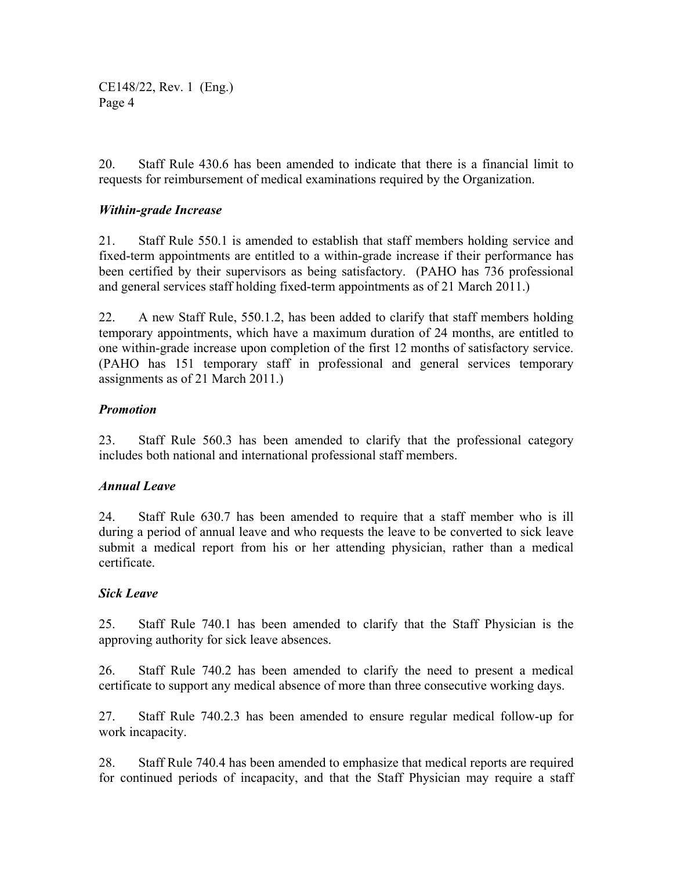20. Staff Rule 430.6 has been amended to indicate that there is a financial limit to requests for reimbursement of medical examinations required by the Organization.

### *Within-grade Increase*

21. Staff Rule 550.1 is amended to establish that staff members holding service and fixed-term appointments are entitled to a within-grade increase if their performance has been certified by their supervisors as being satisfactory. (PAHO has 736 professional and general services staff holding fixed-term appointments as of 21 March 2011.)

22. A new Staff Rule, 550.1.2, has been added to clarify that staff members holding temporary appointments, which have a maximum duration of 24 months, are entitled to one within-grade increase upon completion of the first 12 months of satisfactory service. (PAHO has 151 temporary staff in professional and general services temporary assignments as of 21 March 2011.)

### *Promotion*

23. Staff Rule 560.3 has been amended to clarify that the professional category includes both national and international professional staff members.

### *Annual Leave*

24. Staff Rule 630.7 has been amended to require that a staff member who is ill during a period of annual leave and who requests the leave to be converted to sick leave submit a medical report from his or her attending physician, rather than a medical certificate.

### *Sick Leave*

25. Staff Rule 740.1 has been amended to clarify that the Staff Physician is the approving authority for sick leave absences.

26. Staff Rule 740.2 has been amended to clarify the need to present a medical certificate to support any medical absence of more than three consecutive working days.

27. Staff Rule 740.2.3 has been amended to ensure regular medical follow-up for work incapacity.

28. Staff Rule 740.4 has been amended to emphasize that medical reports are required for continued periods of incapacity, and that the Staff Physician may require a staff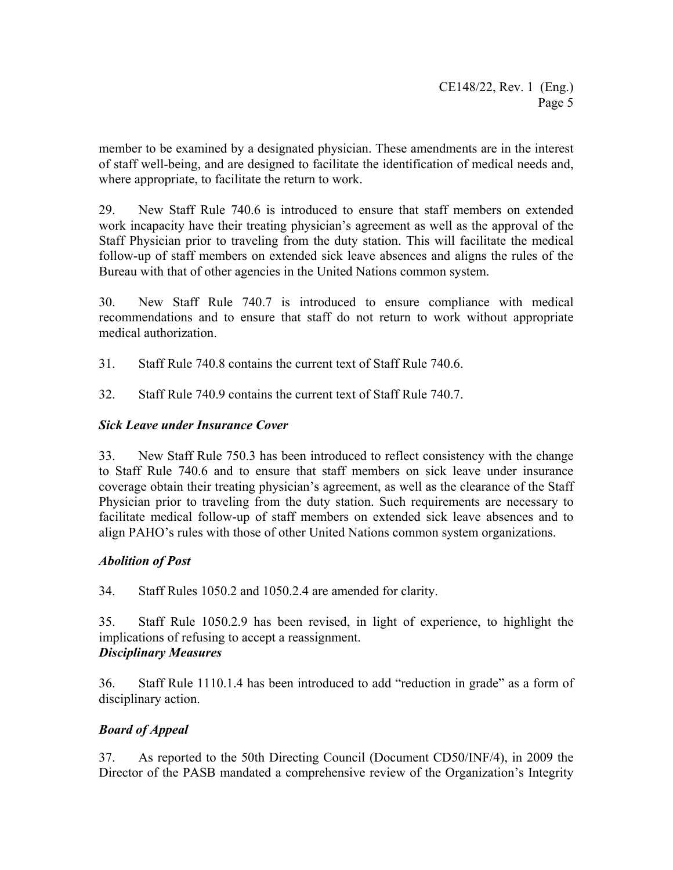member to be examined by a designated physician. These amendments are in the interest of staff well-being, and are designed to facilitate the identification of medical needs and, where appropriate, to facilitate the return to work.

29. New Staff Rule 740.6 is introduced to ensure that staff members on extended work incapacity have their treating physician's agreement as well as the approval of the Staff Physician prior to traveling from the duty station. This will facilitate the medical follow-up of staff members on extended sick leave absences and aligns the rules of the Bureau with that of other agencies in the United Nations common system.

30. New Staff Rule 740.7 is introduced to ensure compliance with medical recommendations and to ensure that staff do not return to work without appropriate medical authorization.

- 31. Staff Rule 740.8 contains the current text of Staff Rule 740.6.
- 32. Staff Rule 740.9 contains the current text of Staff Rule 740.7.

### *Sick Leave under Insurance Cover*

33. New Staff Rule 750.3 has been introduced to reflect consistency with the change to Staff Rule 740.6 and to ensure that staff members on sick leave under insurance coverage obtain their treating physician's agreement, as well as the clearance of the Staff Physician prior to traveling from the duty station. Such requirements are necessary to facilitate medical follow-up of staff members on extended sick leave absences and to align PAHO's rules with those of other United Nations common system organizations.

### *Abolition of Post*

34. Staff Rules 1050.2 and 1050.2.4 are amended for clarity.

35. Staff Rule 1050.2.9 has been revised, in light of experience, to highlight the implications of refusing to accept a reassignment. *Disciplinary Measures* 

36. Staff Rule 1110.1.4 has been introduced to add "reduction in grade" as a form of disciplinary action.

# *Board of Appeal*

37. As reported to the 50th Directing Council (Document CD50/INF/4), in 2009 the Director of the PASB mandated a comprehensive review of the Organization's Integrity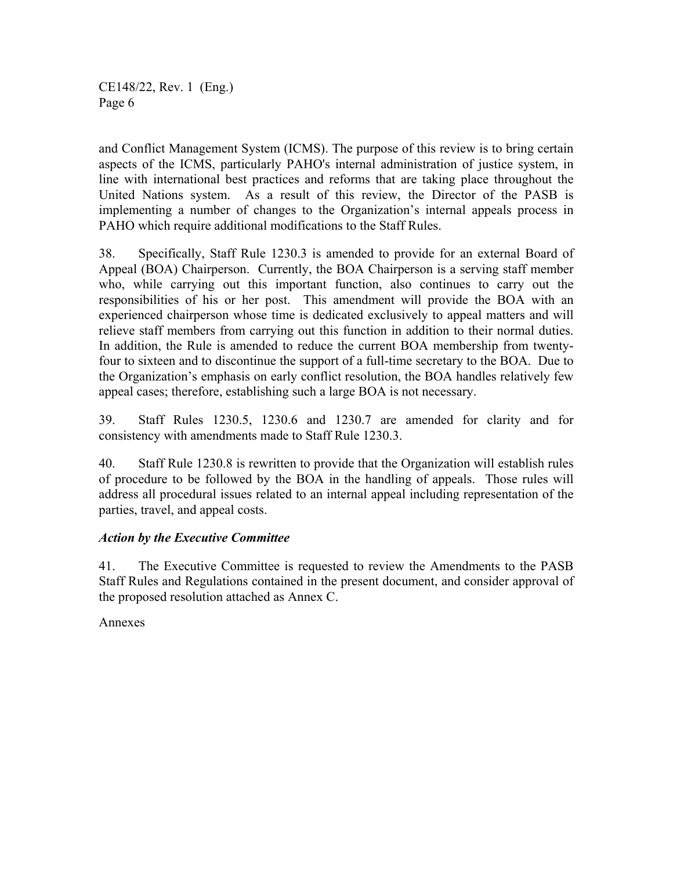and Conflict Management System (ICMS). The purpose of this review is to bring certain aspects of the ICMS, particularly PAHO's internal administration of justice system, in line with international best practices and reforms that are taking place throughout the United Nations system. As a result of this review, the Director of the PASB is implementing a number of changes to the Organization's internal appeals process in PAHO which require additional modifications to the Staff Rules.

38. Specifically, Staff Rule 1230.3 is amended to provide for an external Board of Appeal (BOA) Chairperson. Currently, the BOA Chairperson is a serving staff member who, while carrying out this important function, also continues to carry out the responsibilities of his or her post. This amendment will provide the BOA with an experienced chairperson whose time is dedicated exclusively to appeal matters and will relieve staff members from carrying out this function in addition to their normal duties. In addition, the Rule is amended to reduce the current BOA membership from twentyfour to sixteen and to discontinue the support of a full-time secretary to the BOA. Due to the Organization's emphasis on early conflict resolution, the BOA handles relatively few appeal cases; therefore, establishing such a large BOA is not necessary.

39. Staff Rules 1230.5, 1230.6 and 1230.7 are amended for clarity and for consistency with amendments made to Staff Rule 1230.3.

40. Staff Rule 1230.8 is rewritten to provide that the Organization will establish rules of procedure to be followed by the BOA in the handling of appeals. Those rules will address all procedural issues related to an internal appeal including representation of the parties, travel, and appeal costs.

### *Action by the Executive Committee*

41. The Executive Committee is requested to review the Amendments to the PASB Staff Rules and Regulations contained in the present document, and consider approval of the proposed resolution attached as Annex C.

Annexes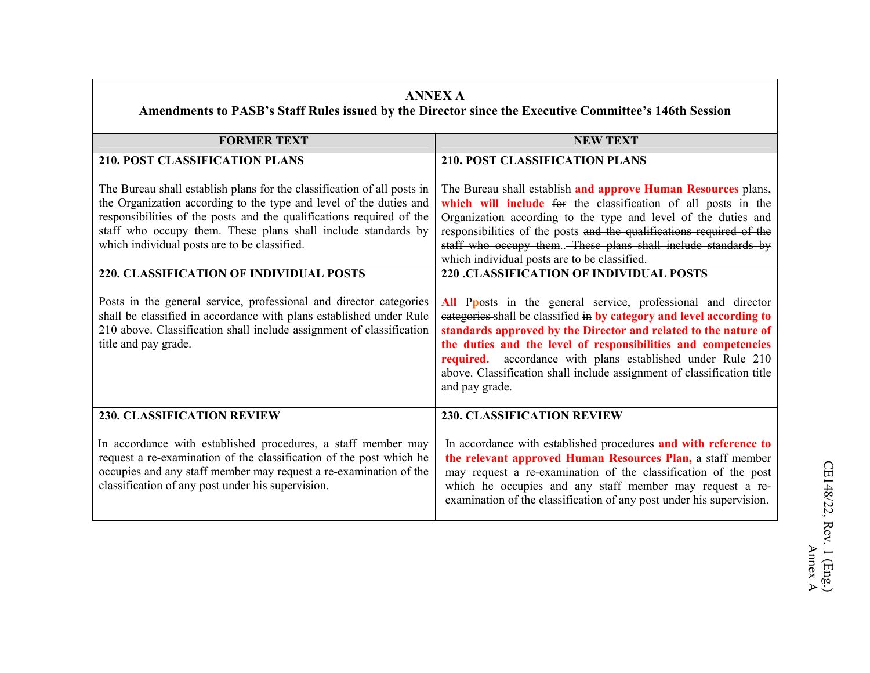|                                                                                                                                                                                                                                                                                                                                                                                                                                                                                                                                                                                                                                       | <b>ANNEX A</b><br>Amendments to PASB's Staff Rules issued by the Director since the Executive Committee's 146th Session                                                                                                                                                                                                                                                                                                                                                                                                                                                                                                                                                                                                                                                                                                                                                           |
|---------------------------------------------------------------------------------------------------------------------------------------------------------------------------------------------------------------------------------------------------------------------------------------------------------------------------------------------------------------------------------------------------------------------------------------------------------------------------------------------------------------------------------------------------------------------------------------------------------------------------------------|-----------------------------------------------------------------------------------------------------------------------------------------------------------------------------------------------------------------------------------------------------------------------------------------------------------------------------------------------------------------------------------------------------------------------------------------------------------------------------------------------------------------------------------------------------------------------------------------------------------------------------------------------------------------------------------------------------------------------------------------------------------------------------------------------------------------------------------------------------------------------------------|
| <b>FORMER TEXT</b>                                                                                                                                                                                                                                                                                                                                                                                                                                                                                                                                                                                                                    | <b>NEW TEXT</b>                                                                                                                                                                                                                                                                                                                                                                                                                                                                                                                                                                                                                                                                                                                                                                                                                                                                   |
| <b>210. POST CLASSIFICATION PLANS</b>                                                                                                                                                                                                                                                                                                                                                                                                                                                                                                                                                                                                 | 210. POST CLASSIFICATION PLANS                                                                                                                                                                                                                                                                                                                                                                                                                                                                                                                                                                                                                                                                                                                                                                                                                                                    |
| The Bureau shall establish plans for the classification of all posts in<br>the Organization according to the type and level of the duties and<br>responsibilities of the posts and the qualifications required of the<br>staff who occupy them. These plans shall include standards by<br>which individual posts are to be classified.<br><b>220. CLASSIFICATION OF INDIVIDUAL POSTS</b><br>Posts in the general service, professional and director categories<br>shall be classified in accordance with plans established under Rule<br>210 above. Classification shall include assignment of classification<br>title and pay grade. | The Bureau shall establish and approve Human Resources plans,<br>which will include for the classification of all posts in the<br>Organization according to the type and level of the duties and<br>responsibilities of the posts and the qualifications required of the<br>staff who occupy them. These plans shall include standards by<br>which individual posts are to be classified.<br><b>220 .CLASSIFICATION OF INDIVIDUAL POSTS</b><br>All Pposts in the general service, professional and director<br>eategories shall be classified in by category and level according to<br>standards approved by the Director and related to the nature of<br>the duties and the level of responsibilities and competencies<br>required. accordance with plans established under Rule 210<br>above. Classification shall include assignment of classification title<br>and pay grade. |
| <b>230. CLASSIFICATION REVIEW</b>                                                                                                                                                                                                                                                                                                                                                                                                                                                                                                                                                                                                     | <b>230. CLASSIFICATION REVIEW</b>                                                                                                                                                                                                                                                                                                                                                                                                                                                                                                                                                                                                                                                                                                                                                                                                                                                 |
| In accordance with established procedures, a staff member may<br>request a re-examination of the classification of the post which he<br>occupies and any staff member may request a re-examination of the<br>classification of any post under his supervision.                                                                                                                                                                                                                                                                                                                                                                        | In accordance with established procedures and with reference to<br>the relevant approved Human Resources Plan, a staff member<br>may request a re-examination of the classification of the post<br>which he occupies and any staff member may request a re-<br>examination of the classification of any post under his supervision.                                                                                                                                                                                                                                                                                                                                                                                                                                                                                                                                               |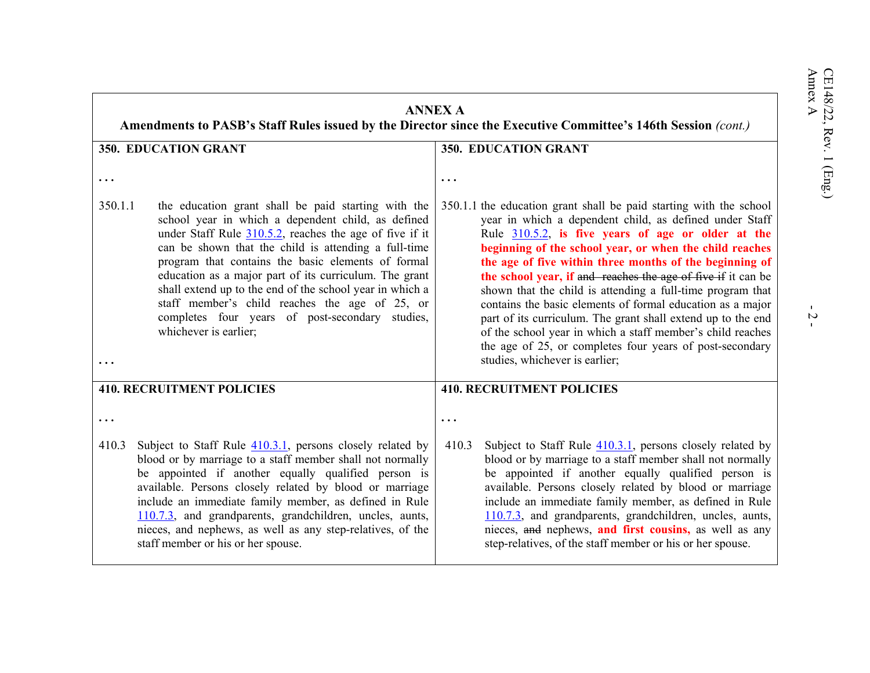|         | <b>ANNEX A</b><br>Amendments to PASB's Staff Rules issued by the Director since the Executive Committee's 146th Session (cont.)                                                                                                                                                                                                                                                                                                                                                                                                           |                                                                                                                                                                                                                                                                                                                                                                                                                                                                                                                                                                                                                                                                                                                                      |  |  |  |
|---------|-------------------------------------------------------------------------------------------------------------------------------------------------------------------------------------------------------------------------------------------------------------------------------------------------------------------------------------------------------------------------------------------------------------------------------------------------------------------------------------------------------------------------------------------|--------------------------------------------------------------------------------------------------------------------------------------------------------------------------------------------------------------------------------------------------------------------------------------------------------------------------------------------------------------------------------------------------------------------------------------------------------------------------------------------------------------------------------------------------------------------------------------------------------------------------------------------------------------------------------------------------------------------------------------|--|--|--|
|         | 350. EDUCATION GRANT                                                                                                                                                                                                                                                                                                                                                                                                                                                                                                                      | 350. EDUCATION GRANT                                                                                                                                                                                                                                                                                                                                                                                                                                                                                                                                                                                                                                                                                                                 |  |  |  |
|         |                                                                                                                                                                                                                                                                                                                                                                                                                                                                                                                                           | $\ddotsc$                                                                                                                                                                                                                                                                                                                                                                                                                                                                                                                                                                                                                                                                                                                            |  |  |  |
| 350.1.1 | the education grant shall be paid starting with the<br>school year in which a dependent child, as defined<br>under Staff Rule $310.5.2$ , reaches the age of five if it<br>can be shown that the child is attending a full-time<br>program that contains the basic elements of formal<br>education as a major part of its curriculum. The grant<br>shall extend up to the end of the school year in which a<br>staff member's child reaches the age of 25, or<br>completes four years of post-secondary studies,<br>whichever is earlier; | 350.1.1 the education grant shall be paid starting with the school<br>year in which a dependent child, as defined under Staff<br>Rule $310.5.2$ , is five years of age or older at the<br>beginning of the school year, or when the child reaches<br>the age of five within three months of the beginning of<br>the school year, if and reaches the age of five if it can be<br>shown that the child is attending a full-time program that<br>contains the basic elements of formal education as a major<br>part of its curriculum. The grant shall extend up to the end<br>of the school year in which a staff member's child reaches<br>the age of 25, or completes four years of post-secondary<br>studies, whichever is earlier; |  |  |  |
|         | <b>410. RECRUITMENT POLICIES</b>                                                                                                                                                                                                                                                                                                                                                                                                                                                                                                          | <b>410. RECRUITMENT POLICIES</b>                                                                                                                                                                                                                                                                                                                                                                                                                                                                                                                                                                                                                                                                                                     |  |  |  |
|         |                                                                                                                                                                                                                                                                                                                                                                                                                                                                                                                                           |                                                                                                                                                                                                                                                                                                                                                                                                                                                                                                                                                                                                                                                                                                                                      |  |  |  |
| 410.3   | Subject to Staff Rule $410.3.1$ , persons closely related by<br>blood or by marriage to a staff member shall not normally<br>be appointed if another equally qualified person is<br>available. Persons closely related by blood or marriage<br>include an immediate family member, as defined in Rule<br>110.7.3, and grandparents, grandchildren, uncles, aunts,<br>nieces, and nephews, as well as any step-relatives, of the<br>staff member or his or her spouse.                                                                     | 410.3<br>Subject to Staff Rule $410.3.1$ , persons closely related by<br>blood or by marriage to a staff member shall not normally<br>be appointed if another equally qualified person is<br>available. Persons closely related by blood or marriage<br>include an immediate family member, as defined in Rule<br>110.7.3, and grandparents, grandchildren, uncles, aunts,<br>nieces, and nephews, and first cousins, as well as any<br>step-relatives, of the staff member or his or her spouse.                                                                                                                                                                                                                                    |  |  |  |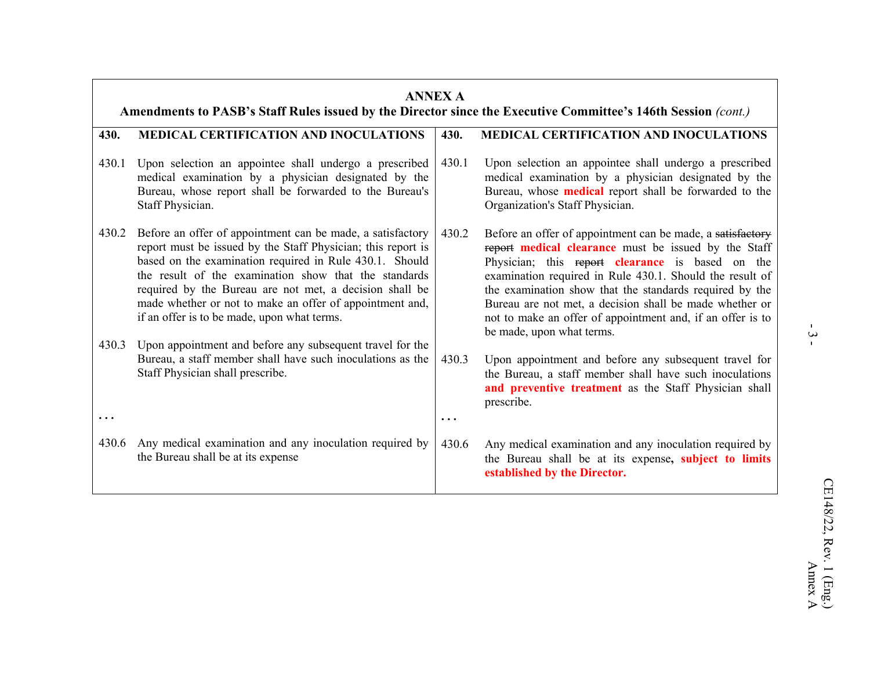|                | <b>ANNEX A</b><br>Amendments to PASB's Staff Rules issued by the Director since the Executive Committee's 146th Session (cont.)                                                                                                                                                                                                                                                                                                                                                   |       |                                                                                                                                                                                                                                                                                                                                                                                                                                                     |  |  |
|----------------|-----------------------------------------------------------------------------------------------------------------------------------------------------------------------------------------------------------------------------------------------------------------------------------------------------------------------------------------------------------------------------------------------------------------------------------------------------------------------------------|-------|-----------------------------------------------------------------------------------------------------------------------------------------------------------------------------------------------------------------------------------------------------------------------------------------------------------------------------------------------------------------------------------------------------------------------------------------------------|--|--|
| 430.           | <b>MEDICAL CERTIFICATION AND INOCULATIONS</b>                                                                                                                                                                                                                                                                                                                                                                                                                                     | 430.  | MEDICAL CERTIFICATION AND INOCULATIONS                                                                                                                                                                                                                                                                                                                                                                                                              |  |  |
| 430.1          | Upon selection an appointee shall undergo a prescribed<br>medical examination by a physician designated by the<br>Bureau, whose report shall be forwarded to the Bureau's<br>Staff Physician.                                                                                                                                                                                                                                                                                     | 430.1 | Upon selection an appointee shall undergo a prescribed<br>medical examination by a physician designated by the<br>Bureau, whose <b>medical</b> report shall be forwarded to the<br>Organization's Staff Physician.                                                                                                                                                                                                                                  |  |  |
| 430.2<br>430.3 | Before an offer of appointment can be made, a satisfactory<br>report must be issued by the Staff Physician; this report is<br>based on the examination required in Rule 430.1. Should<br>the result of the examination show that the standards<br>required by the Bureau are not met, a decision shall be<br>made whether or not to make an offer of appointment and,<br>if an offer is to be made, upon what terms.<br>Upon appointment and before any subsequent travel for the | 430.2 | Before an offer of appointment can be made, a satisfactory<br>report medical clearance must be issued by the Staff<br>Physician; this report clearance is based on the<br>examination required in Rule 430.1. Should the result of<br>the examination show that the standards required by the<br>Bureau are not met, a decision shall be made whether or<br>not to make an offer of appointment and, if an offer is to<br>be made, upon what terms. |  |  |
|                | Bureau, a staff member shall have such inoculations as the<br>Staff Physician shall prescribe.                                                                                                                                                                                                                                                                                                                                                                                    | 430.3 | Upon appointment and before any subsequent travel for<br>the Bureau, a staff member shall have such inoculations<br>and preventive treatment as the Staff Physician shall<br>prescribe.                                                                                                                                                                                                                                                             |  |  |
| $\ddotsc$      |                                                                                                                                                                                                                                                                                                                                                                                                                                                                                   |       |                                                                                                                                                                                                                                                                                                                                                                                                                                                     |  |  |
| 430.6          | Any medical examination and any inoculation required by<br>the Bureau shall be at its expense                                                                                                                                                                                                                                                                                                                                                                                     | 430.6 | Any medical examination and any inoculation required by<br>the Bureau shall be at its expense, subject to limits<br>established by the Director.                                                                                                                                                                                                                                                                                                    |  |  |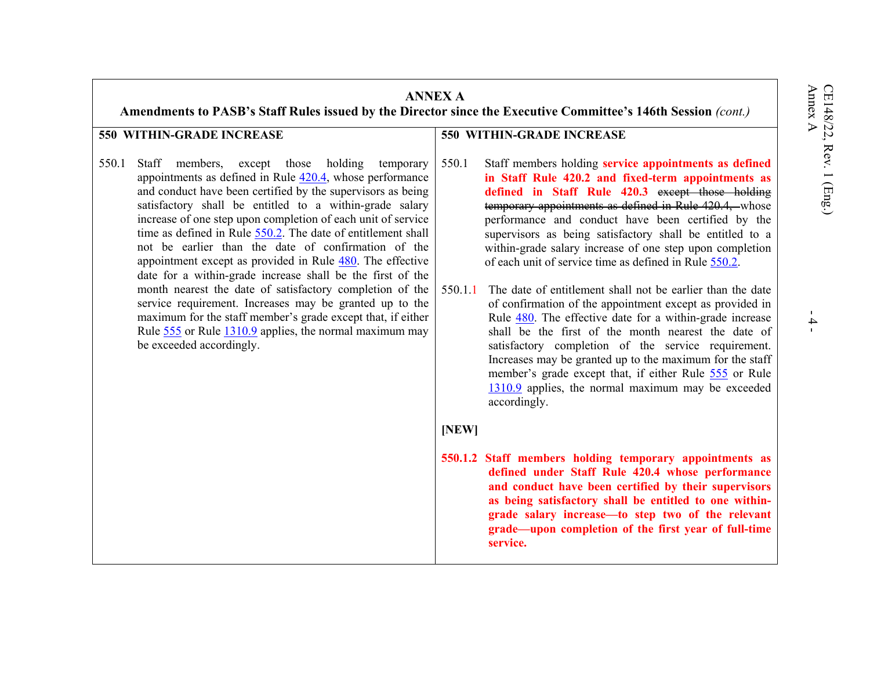- 4 -

| <b>ANNEX A</b><br>Amendments to PASB's Staff Rules issued by the Director since the Executive Committee's 146th Session (cont.)                                                                                                                                                                                                                                                                                                                                                                                                                                                                                                                                                                                                                                                                                                                      |                                                                                                                                                                                                                                                                                                                                                                                                                                                                                                                                                                                                                                                                                                                                                                                                                                                                                                                                                                                         |  |  |  |  |
|------------------------------------------------------------------------------------------------------------------------------------------------------------------------------------------------------------------------------------------------------------------------------------------------------------------------------------------------------------------------------------------------------------------------------------------------------------------------------------------------------------------------------------------------------------------------------------------------------------------------------------------------------------------------------------------------------------------------------------------------------------------------------------------------------------------------------------------------------|-----------------------------------------------------------------------------------------------------------------------------------------------------------------------------------------------------------------------------------------------------------------------------------------------------------------------------------------------------------------------------------------------------------------------------------------------------------------------------------------------------------------------------------------------------------------------------------------------------------------------------------------------------------------------------------------------------------------------------------------------------------------------------------------------------------------------------------------------------------------------------------------------------------------------------------------------------------------------------------------|--|--|--|--|
| 550 WITHIN-GRADE INCREASE                                                                                                                                                                                                                                                                                                                                                                                                                                                                                                                                                                                                                                                                                                                                                                                                                            | <b>550 WITHIN-GRADE INCREASE</b>                                                                                                                                                                                                                                                                                                                                                                                                                                                                                                                                                                                                                                                                                                                                                                                                                                                                                                                                                        |  |  |  |  |
| 550.1<br>Staff<br>members, except those holding<br>temporary<br>appointments as defined in Rule $420.4$ , whose performance<br>and conduct have been certified by the supervisors as being<br>satisfactory shall be entitled to a within-grade salary<br>increase of one step upon completion of each unit of service<br>time as defined in Rule 550.2. The date of entitlement shall<br>not be earlier than the date of confirmation of the<br>appointment except as provided in Rule 480. The effective<br>date for a within-grade increase shall be the first of the<br>month nearest the date of satisfactory completion of the<br>service requirement. Increases may be granted up to the<br>maximum for the staff member's grade except that, if either<br>Rule 555 or Rule 1310.9 applies, the normal maximum may<br>be exceeded accordingly. | 550.1<br>Staff members holding service appointments as defined<br>in Staff Rule 420.2 and fixed-term appointments as<br>defined in Staff Rule 420.3 except those holding<br>temporary appointments as defined in Rule 420.4, whose<br>performance and conduct have been certified by the<br>supervisors as being satisfactory shall be entitled to a<br>within-grade salary increase of one step upon completion<br>of each unit of service time as defined in Rule 550.2.<br>The date of entitlement shall not be earlier than the date<br>550.1.1<br>of confirmation of the appointment except as provided in<br>Rule 480. The effective date for a within-grade increase<br>shall be the first of the month nearest the date of<br>satisfactory completion of the service requirement.<br>Increases may be granted up to the maximum for the staff<br>member's grade except that, if either Rule 555 or Rule<br>$1310.9$ applies, the normal maximum may be exceeded<br>accordingly. |  |  |  |  |
|                                                                                                                                                                                                                                                                                                                                                                                                                                                                                                                                                                                                                                                                                                                                                                                                                                                      | [NEW]                                                                                                                                                                                                                                                                                                                                                                                                                                                                                                                                                                                                                                                                                                                                                                                                                                                                                                                                                                                   |  |  |  |  |
|                                                                                                                                                                                                                                                                                                                                                                                                                                                                                                                                                                                                                                                                                                                                                                                                                                                      | 550.1.2 Staff members holding temporary appointments as<br>defined under Staff Rule 420.4 whose performance<br>and conduct have been certified by their supervisors<br>as being satisfactory shall be entitled to one within-<br>grade salary increase-to step two of the relevant<br>grade—upon completion of the first year of full-time<br>service.                                                                                                                                                                                                                                                                                                                                                                                                                                                                                                                                                                                                                                  |  |  |  |  |

### **550 WITHIN-GRADE INCREASE**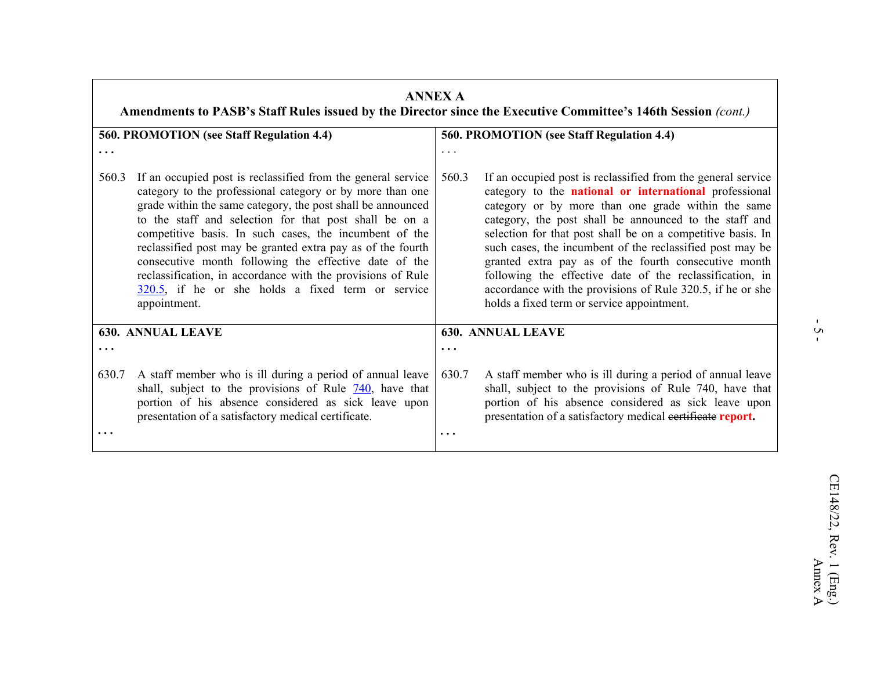|          | <b>ANNEX A</b><br>Amendments to PASB's Staff Rules issued by the Director since the Executive Committee's 146th Session (cont.)                                                                                                                                                                                                                                                                                                                                                                                                                                             |                                           |                                                                                                                                                                                                                                                                                                                                                                                                                                                                                                                                                                                                    |  |  |  |
|----------|-----------------------------------------------------------------------------------------------------------------------------------------------------------------------------------------------------------------------------------------------------------------------------------------------------------------------------------------------------------------------------------------------------------------------------------------------------------------------------------------------------------------------------------------------------------------------------|-------------------------------------------|----------------------------------------------------------------------------------------------------------------------------------------------------------------------------------------------------------------------------------------------------------------------------------------------------------------------------------------------------------------------------------------------------------------------------------------------------------------------------------------------------------------------------------------------------------------------------------------------------|--|--|--|
|          | 560. PROMOTION (see Staff Regulation 4.4)                                                                                                                                                                                                                                                                                                                                                                                                                                                                                                                                   | 560. PROMOTION (see Staff Regulation 4.4) |                                                                                                                                                                                                                                                                                                                                                                                                                                                                                                                                                                                                    |  |  |  |
| .        |                                                                                                                                                                                                                                                                                                                                                                                                                                                                                                                                                                             | $\cdot$                                   |                                                                                                                                                                                                                                                                                                                                                                                                                                                                                                                                                                                                    |  |  |  |
| 560.3    | If an occupied post is reclassified from the general service<br>category to the professional category or by more than one<br>grade within the same category, the post shall be announced<br>to the staff and selection for that post shall be on a<br>competitive basis. In such cases, the incumbent of the<br>reclassified post may be granted extra pay as of the fourth<br>consecutive month following the effective date of the<br>reclassification, in accordance with the provisions of Rule<br>$320.5$ , if he or she holds a fixed term or service<br>appointment. | 560.3                                     | If an occupied post is reclassified from the general service<br>category to the national or international professional<br>category or by more than one grade within the same<br>category, the post shall be announced to the staff and<br>selection for that post shall be on a competitive basis. In<br>such cases, the incumbent of the reclassified post may be<br>granted extra pay as of the fourth consecutive month<br>following the effective date of the reclassification, in<br>accordance with the provisions of Rule 320.5, if he or she<br>holds a fixed term or service appointment. |  |  |  |
|          | <b>630. ANNUAL LEAVE</b>                                                                                                                                                                                                                                                                                                                                                                                                                                                                                                                                                    | <b>630. ANNUAL LEAVE</b>                  |                                                                                                                                                                                                                                                                                                                                                                                                                                                                                                                                                                                                    |  |  |  |
| $\cdots$ |                                                                                                                                                                                                                                                                                                                                                                                                                                                                                                                                                                             | $\cdots$                                  |                                                                                                                                                                                                                                                                                                                                                                                                                                                                                                                                                                                                    |  |  |  |
| 630.7    | A staff member who is ill during a period of annual leave<br>shall, subject to the provisions of Rule $\frac{740}{140}$ , have that<br>portion of his absence considered as sick leave upon<br>presentation of a satisfactory medical certificate.                                                                                                                                                                                                                                                                                                                          | 630.7<br>$\ddot{\phantom{0}}$ .           | A staff member who is ill during a period of annual leave<br>shall, subject to the provisions of Rule 740, have that<br>portion of his absence considered as sick leave upon<br>presentation of a satisfactory medical eertificate report.                                                                                                                                                                                                                                                                                                                                                         |  |  |  |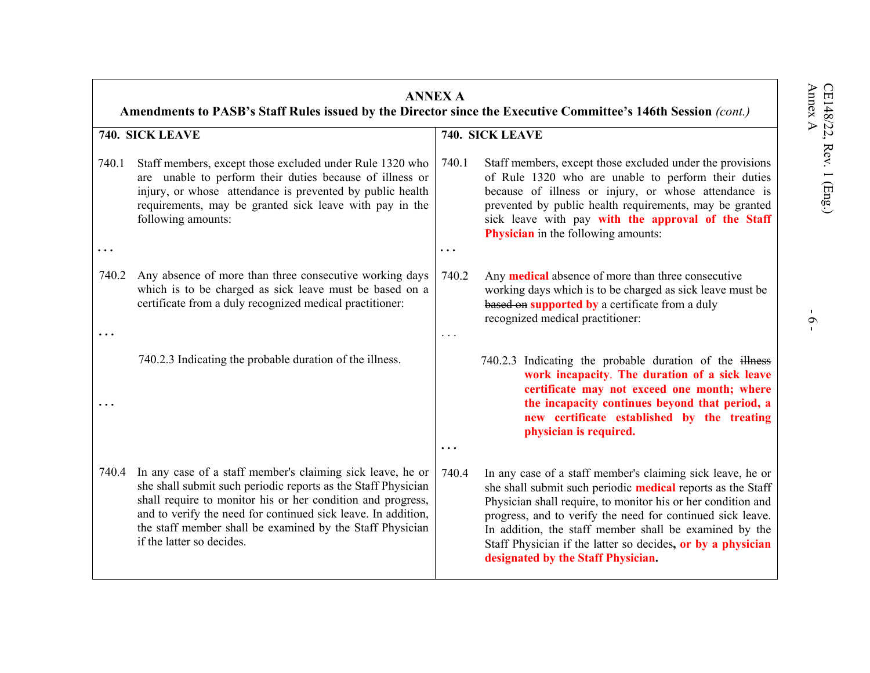|       | <b>ANNEX A</b><br>Amendments to PASB's Staff Rules issued by the Director since the Executive Committee's 146th Session (cont.)                                                                                                                                                                                                                       |           |                                                                                                                                                                                                                                                                                                                                                                                                                        |  |  |
|-------|-------------------------------------------------------------------------------------------------------------------------------------------------------------------------------------------------------------------------------------------------------------------------------------------------------------------------------------------------------|-----------|------------------------------------------------------------------------------------------------------------------------------------------------------------------------------------------------------------------------------------------------------------------------------------------------------------------------------------------------------------------------------------------------------------------------|--|--|
|       | 740. SICK LEAVE                                                                                                                                                                                                                                                                                                                                       |           | 740. SICK LEAVE                                                                                                                                                                                                                                                                                                                                                                                                        |  |  |
| 740.1 | Staff members, except those excluded under Rule 1320 who<br>are unable to perform their duties because of illness or<br>injury, or whose attendance is prevented by public health<br>requirements, may be granted sick leave with pay in the<br>following amounts:                                                                                    | 740.1     | Staff members, except those excluded under the provisions<br>of Rule 1320 who are unable to perform their duties<br>because of illness or injury, or whose attendance is<br>prevented by public health requirements, may be granted<br>sick leave with pay with the approval of the Staff<br><b>Physician</b> in the following amounts:                                                                                |  |  |
| .     |                                                                                                                                                                                                                                                                                                                                                       | $\ddotsc$ |                                                                                                                                                                                                                                                                                                                                                                                                                        |  |  |
| 740.2 | Any absence of more than three consecutive working days<br>which is to be charged as sick leave must be based on a<br>certificate from a duly recognized medical practitioner:                                                                                                                                                                        | 740.2     | Any <b>medical</b> absence of more than three consecutive<br>working days which is to be charged as sick leave must be<br>based on supported by a certificate from a duly<br>recognized medical practitioner:                                                                                                                                                                                                          |  |  |
|       |                                                                                                                                                                                                                                                                                                                                                       | .         |                                                                                                                                                                                                                                                                                                                                                                                                                        |  |  |
|       | 740.2.3 Indicating the probable duration of the illness.                                                                                                                                                                                                                                                                                              |           | 740.2.3 Indicating the probable duration of the illness<br>work incapacity. The duration of a sick leave<br>certificate may not exceed one month; where<br>the incapacity continues beyond that period, a<br>new certificate established by the treating<br>physician is required.                                                                                                                                     |  |  |
|       |                                                                                                                                                                                                                                                                                                                                                       | $\ddotsc$ |                                                                                                                                                                                                                                                                                                                                                                                                                        |  |  |
| 740.4 | In any case of a staff member's claiming sick leave, he or<br>she shall submit such periodic reports as the Staff Physician<br>shall require to monitor his or her condition and progress,<br>and to verify the need for continued sick leave. In addition,<br>the staff member shall be examined by the Staff Physician<br>if the latter so decides. | 740.4     | In any case of a staff member's claiming sick leave, he or<br>she shall submit such periodic medical reports as the Staff<br>Physician shall require, to monitor his or her condition and<br>progress, and to verify the need for continued sick leave.<br>In addition, the staff member shall be examined by the<br>Staff Physician if the latter so decides, or by a physician<br>designated by the Staff Physician. |  |  |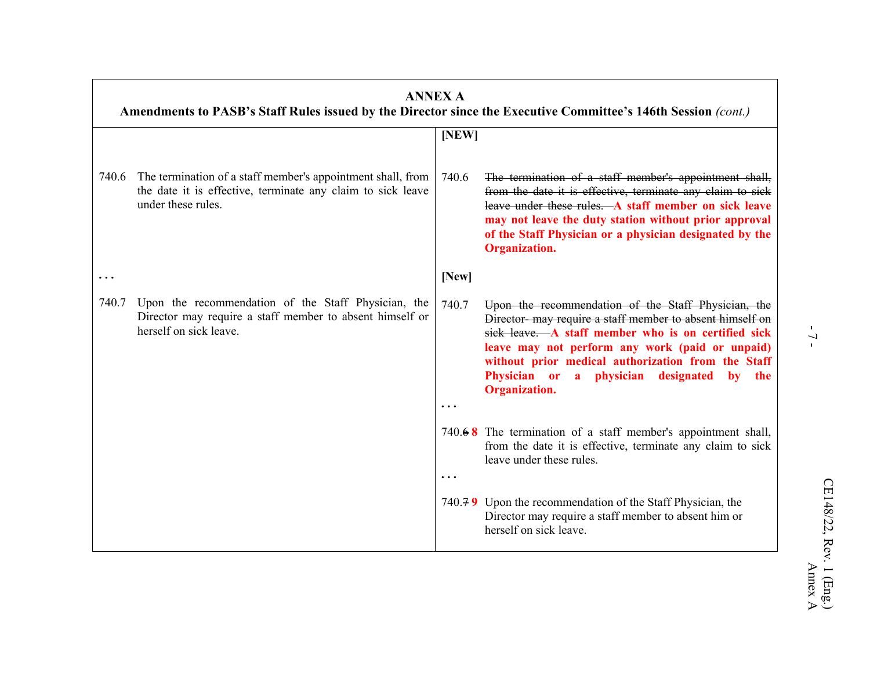|           | <b>ANNEX A</b><br>Amendments to PASB's Staff Rules issued by the Director since the Executive Committee's 146th Session (cont.)                  |                    |                                                                                                                                                                                                                                                                                                                                                           |
|-----------|--------------------------------------------------------------------------------------------------------------------------------------------------|--------------------|-----------------------------------------------------------------------------------------------------------------------------------------------------------------------------------------------------------------------------------------------------------------------------------------------------------------------------------------------------------|
|           |                                                                                                                                                  | [NEW]              |                                                                                                                                                                                                                                                                                                                                                           |
| 740.6     | The termination of a staff member's appointment shall, from<br>the date it is effective, terminate any claim to sick leave<br>under these rules. | 740.6              | The termination of a staff member's appointment shall,<br>from the date it is effective, terminate any claim to sick<br>leave under these rules. A staff member on sick leave<br>may not leave the duty station without prior approval<br>of the Staff Physician or a physician designated by the<br><b>Organization.</b>                                 |
| $\ddotsc$ |                                                                                                                                                  | [New]              |                                                                                                                                                                                                                                                                                                                                                           |
| 740.7     | Upon the recommendation of the Staff Physician, the<br>Director may require a staff member to absent himself or<br>herself on sick leave.        | 740.7<br>$\ddotsc$ | Upon the recommendation of the Staff Physician, the<br>Director- may require a staff member to absent himself on<br>sick leave. A staff member who is on certified sick<br>leave may not perform any work (paid or unpaid)<br>without prior medical authorization from the Staff<br>Physician or a physician designated<br>by the<br><b>Organization.</b> |
|           |                                                                                                                                                  | $\ddotsc$          | 740. $\angle$ 8 The termination of a staff member's appointment shall,<br>from the date it is effective, terminate any claim to sick<br>leave under these rules.                                                                                                                                                                                          |
|           |                                                                                                                                                  |                    | 740.79 Upon the recommendation of the Staff Physician, the<br>Director may require a staff member to absent him or<br>herself on sick leave.                                                                                                                                                                                                              |

 $-7-$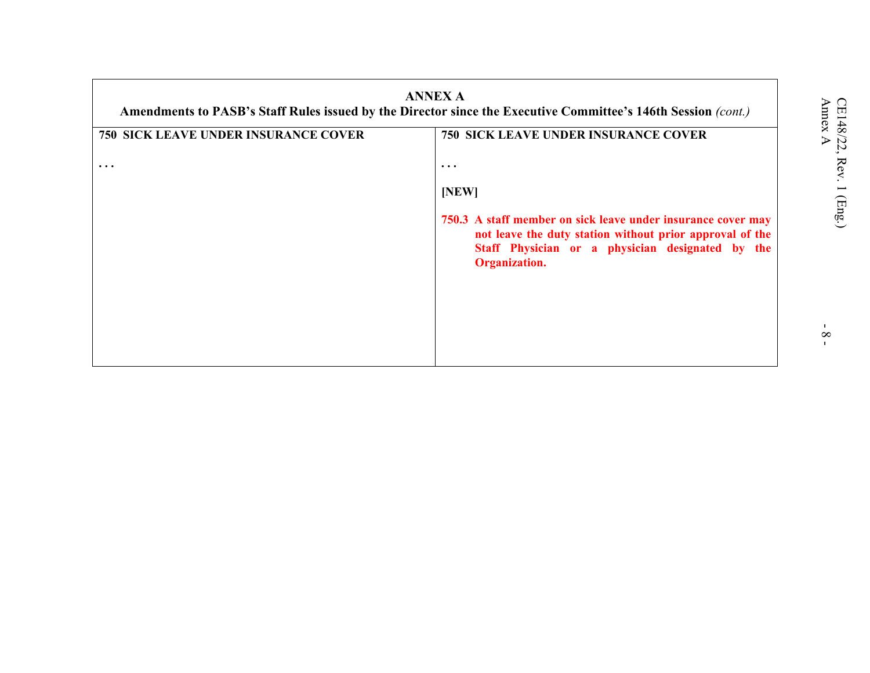| <b>ANNEX A</b><br>Amendments to PASB's Staff Rules issued by the Director since the Executive Committee's 146th Session (cont.) |                                                                                                                                                                                                      |  |  |  |
|---------------------------------------------------------------------------------------------------------------------------------|------------------------------------------------------------------------------------------------------------------------------------------------------------------------------------------------------|--|--|--|
| <b>750 SICK LEAVE UNDER INSURANCE COVER</b>                                                                                     | <b>750 SICK LEAVE UNDER INSURANCE COVER</b>                                                                                                                                                          |  |  |  |
| $\cdots$                                                                                                                        | $\ddotsc$                                                                                                                                                                                            |  |  |  |
|                                                                                                                                 | [NEW]                                                                                                                                                                                                |  |  |  |
|                                                                                                                                 | 750.3 A staff member on sick leave under insurance cover may<br>not leave the duty station without prior approval of the<br>Staff Physician or a physician designated by the<br><b>Organization.</b> |  |  |  |
|                                                                                                                                 |                                                                                                                                                                                                      |  |  |  |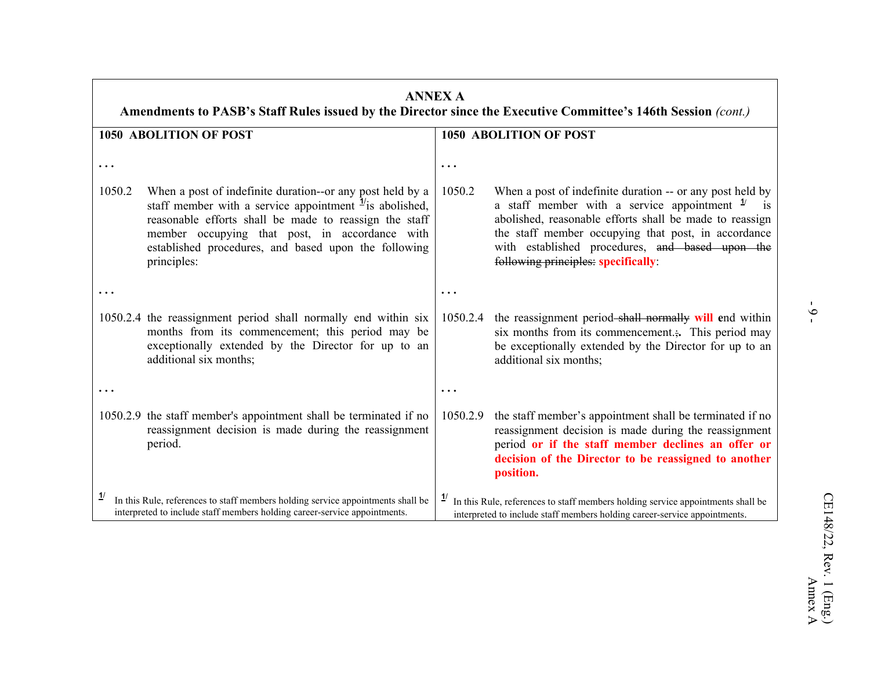| <b>ANNEX A</b><br>Amendments to PASB's Staff Rules issued by the Director since the Executive Committee's 146th Session (cont.)                              |                                                                                                                                                                                                                                                                                                                     |                                                                                                                                                                              |                                                                                                                                                                                                                                                                                                                                  |  |
|--------------------------------------------------------------------------------------------------------------------------------------------------------------|---------------------------------------------------------------------------------------------------------------------------------------------------------------------------------------------------------------------------------------------------------------------------------------------------------------------|------------------------------------------------------------------------------------------------------------------------------------------------------------------------------|----------------------------------------------------------------------------------------------------------------------------------------------------------------------------------------------------------------------------------------------------------------------------------------------------------------------------------|--|
|                                                                                                                                                              | <b>1050 ABOLITION OF POST</b>                                                                                                                                                                                                                                                                                       |                                                                                                                                                                              | <b>1050 ABOLITION OF POST</b>                                                                                                                                                                                                                                                                                                    |  |
|                                                                                                                                                              |                                                                                                                                                                                                                                                                                                                     | $\ddotsc$                                                                                                                                                                    |                                                                                                                                                                                                                                                                                                                                  |  |
| 1050.2                                                                                                                                                       | When a post of indefinite duration--or any post held by a<br>staff member with a service appointment $\frac{1}{1}$ is abolished,<br>reasonable efforts shall be made to reassign the staff<br>member occupying that post, in accordance with<br>established procedures, and based upon the following<br>principles: | 1050.2                                                                                                                                                                       | When a post of indefinite duration -- or any post held by<br>a staff member with a service appointment $\frac{1}{2}$<br>abolished, reasonable efforts shall be made to reassign<br>the staff member occupying that post, in accordance<br>with established procedures, and based upon the<br>following principles: specifically: |  |
|                                                                                                                                                              |                                                                                                                                                                                                                                                                                                                     | $\ddot{\phantom{a}}$                                                                                                                                                         |                                                                                                                                                                                                                                                                                                                                  |  |
|                                                                                                                                                              | 1050.2.4 the reassignment period shall normally end within six<br>months from its commencement; this period may be<br>exceptionally extended by the Director for up to an<br>additional six months;                                                                                                                 | 1050.2.4                                                                                                                                                                     | the reassignment period shall normally will end within<br>six months from its commencement This period may<br>be exceptionally extended by the Director for up to an<br>additional six months;                                                                                                                                   |  |
|                                                                                                                                                              |                                                                                                                                                                                                                                                                                                                     | $\ddotsc$                                                                                                                                                                    |                                                                                                                                                                                                                                                                                                                                  |  |
|                                                                                                                                                              | 1050.2.9 the staff member's appointment shall be terminated if no<br>reassignment decision is made during the reassignment<br>period.                                                                                                                                                                               | 1050.2.9                                                                                                                                                                     | the staff member's appointment shall be terminated if no<br>reassignment decision is made during the reassignment<br>period or if the staff member declines an offer or<br>decision of the Director to be reassigned to another<br>position.                                                                                     |  |
| In this Rule, references to staff members holding service appointments shall be<br>interpreted to include staff members holding career-service appointments. |                                                                                                                                                                                                                                                                                                                     | $\mathbf{1}$<br>In this Rule, references to staff members holding service appointments shall be<br>interpreted to include staff members holding career-service appointments. |                                                                                                                                                                                                                                                                                                                                  |  |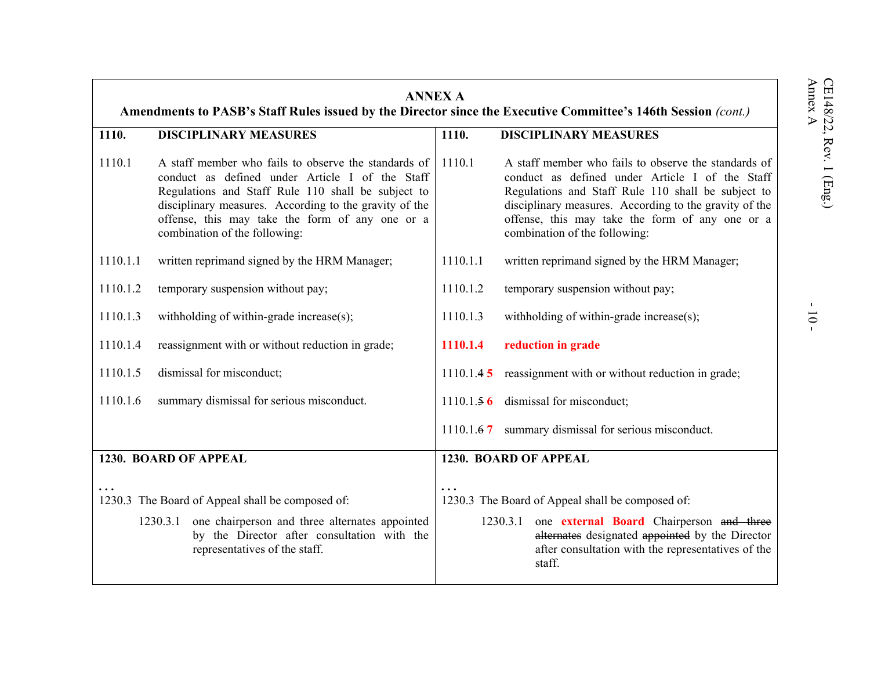| <b>ANNEX A</b><br>Amendments to PASB's Staff Rules issued by the Director since the Executive Committee's 146th Session (cont.) |                                                                                                                                                                                                                                                                                                             |           |                                                                                                                                                                                                                                                                                                             |  |
|---------------------------------------------------------------------------------------------------------------------------------|-------------------------------------------------------------------------------------------------------------------------------------------------------------------------------------------------------------------------------------------------------------------------------------------------------------|-----------|-------------------------------------------------------------------------------------------------------------------------------------------------------------------------------------------------------------------------------------------------------------------------------------------------------------|--|
| 1110.                                                                                                                           | <b>DISCIPLINARY MEASURES</b>                                                                                                                                                                                                                                                                                | 1110.     | <b>DISCIPLINARY MEASURES</b>                                                                                                                                                                                                                                                                                |  |
| 1110.1                                                                                                                          | A staff member who fails to observe the standards of<br>conduct as defined under Article I of the Staff<br>Regulations and Staff Rule 110 shall be subject to<br>disciplinary measures. According to the gravity of the<br>offense, this may take the form of any one or a<br>combination of the following: | 1110.1    | A staff member who fails to observe the standards of<br>conduct as defined under Article I of the Staff<br>Regulations and Staff Rule 110 shall be subject to<br>disciplinary measures. According to the gravity of the<br>offense, this may take the form of any one or a<br>combination of the following: |  |
| 1110.1.1                                                                                                                        | written reprimand signed by the HRM Manager;                                                                                                                                                                                                                                                                | 1110.1.1  | written reprimand signed by the HRM Manager;                                                                                                                                                                                                                                                                |  |
| 1110.1.2                                                                                                                        | temporary suspension without pay;                                                                                                                                                                                                                                                                           | 1110.1.2  | temporary suspension without pay;                                                                                                                                                                                                                                                                           |  |
| 1110.1.3                                                                                                                        | withholding of within-grade increase(s);                                                                                                                                                                                                                                                                    | 1110.1.3  | withholding of within-grade increase(s);                                                                                                                                                                                                                                                                    |  |
| 1110.1.4                                                                                                                        | reassignment with or without reduction in grade;                                                                                                                                                                                                                                                            | 1110.1.4  | reduction in grade                                                                                                                                                                                                                                                                                          |  |
| 1110.1.5                                                                                                                        | dismissal for misconduct;                                                                                                                                                                                                                                                                                   | 1110.1.45 | reassignment with or without reduction in grade;                                                                                                                                                                                                                                                            |  |
| 1110.1.6                                                                                                                        | summary dismissal for serious misconduct.                                                                                                                                                                                                                                                                   | 1110.1.56 | dismissal for misconduct;                                                                                                                                                                                                                                                                                   |  |
|                                                                                                                                 |                                                                                                                                                                                                                                                                                                             | 1110.1.67 | summary dismissal for serious misconduct.                                                                                                                                                                                                                                                                   |  |
|                                                                                                                                 | 1230. BOARD OF APPEAL                                                                                                                                                                                                                                                                                       |           | 1230. BOARD OF APPEAL                                                                                                                                                                                                                                                                                       |  |
| 1230.3 The Board of Appeal shall be composed of:                                                                                |                                                                                                                                                                                                                                                                                                             |           | 1230.3 The Board of Appeal shall be composed of:                                                                                                                                                                                                                                                            |  |
|                                                                                                                                 | one chairperson and three alternates appointed<br>1230.3.1<br>by the Director after consultation with the<br>representatives of the staff.                                                                                                                                                                  |           | one external Board Chairperson and three<br>1230.3.1<br>alternates designated appointed by the Director<br>after consultation with the representatives of the<br>staff.                                                                                                                                     |  |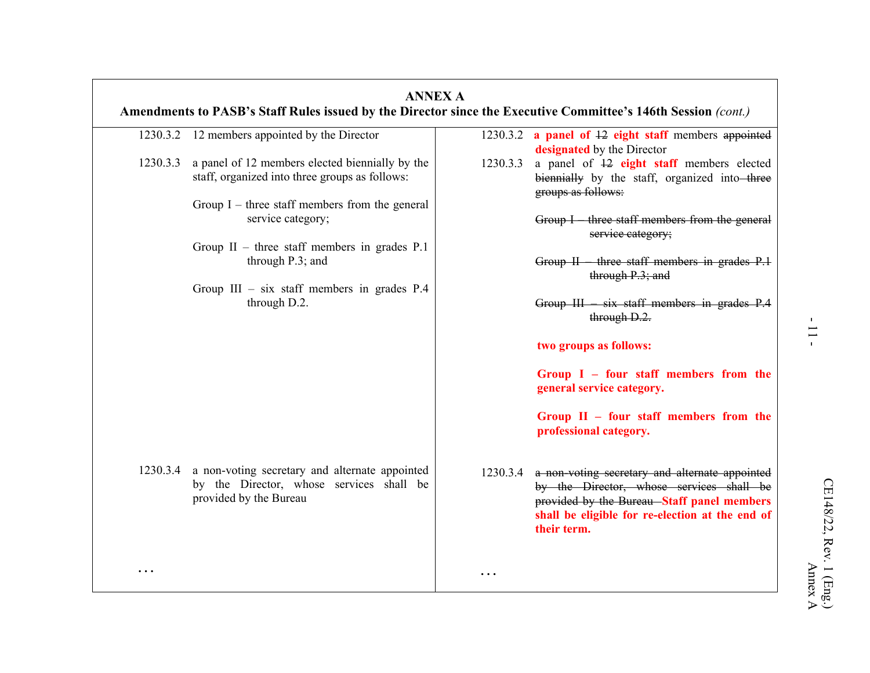|           | 1230.3.2 12 members appointed by the Director                                                     |          | 1230.3.2 a panel of 12 eight staff members appointed<br>designated by the Director                                                                       |
|-----------|---------------------------------------------------------------------------------------------------|----------|----------------------------------------------------------------------------------------------------------------------------------------------------------|
| 1230.3.3  | a panel of 12 members elected biennially by the<br>staff, organized into three groups as follows: | 1230.3.3 | a panel of $\overline{12}$ eight staff members elected<br>biennially by the staff, organized into three<br>groups as follows:                            |
|           | Group $I$ – three staff members from the general                                                  |          |                                                                                                                                                          |
|           | service category;                                                                                 |          | Group I three staff members from the general<br>service category;                                                                                        |
|           | Group $II$ – three staff members in grades P.1                                                    |          |                                                                                                                                                          |
|           | through $P.3$ ; and                                                                               |          | Group $II$ – three staff members in grades $P.1$<br>through $P.3$ ; and                                                                                  |
|           | Group III - six staff members in grades P.4                                                       |          |                                                                                                                                                          |
|           | through D.2.                                                                                      |          | Group III six staff members in grades P.4<br>through D.2.                                                                                                |
|           |                                                                                                   |          | two groups as follows:                                                                                                                                   |
|           |                                                                                                   |          | Group $I - four$ staff members from the<br>general service category.                                                                                     |
|           |                                                                                                   |          | Group $II$ – four staff members from the<br>professional category.                                                                                       |
|           | 1230.3.4 a non-voting secretary and alternate appointed                                           | 1230.3.4 | a non-voting secretary and alternate appointed                                                                                                           |
|           | by the Director, whose services shall be<br>provided by the Bureau                                |          | by the Director, whose services shall be<br>provided by the Bureau-Staff panel members<br>shall be eligible for re-election at the end of<br>their term. |
|           |                                                                                                   |          |                                                                                                                                                          |
| $\ddotsc$ |                                                                                                   | .        |                                                                                                                                                          |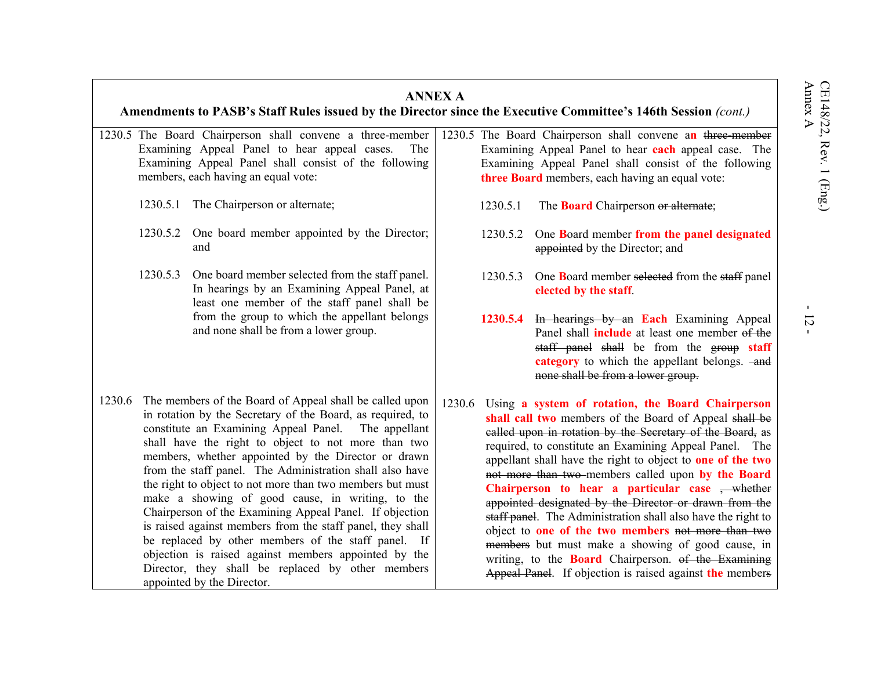|          |                                                                                                                                                 | Amendments to PASB's Staff Rules issued by the Director since the Executive Committee's 146th Session (cont.)                                                                                                                                                                                                                                                                                                                                                                                                                                                                                                                                                                                                                                                                                         | <b>ANNEX A</b> |                                                                         |                                                                                                                                                                                                                                                                                                                                                                                                                                                                                                                                                                                                                                                                                                                                                                                             |
|----------|-------------------------------------------------------------------------------------------------------------------------------------------------|-------------------------------------------------------------------------------------------------------------------------------------------------------------------------------------------------------------------------------------------------------------------------------------------------------------------------------------------------------------------------------------------------------------------------------------------------------------------------------------------------------------------------------------------------------------------------------------------------------------------------------------------------------------------------------------------------------------------------------------------------------------------------------------------------------|----------------|-------------------------------------------------------------------------|---------------------------------------------------------------------------------------------------------------------------------------------------------------------------------------------------------------------------------------------------------------------------------------------------------------------------------------------------------------------------------------------------------------------------------------------------------------------------------------------------------------------------------------------------------------------------------------------------------------------------------------------------------------------------------------------------------------------------------------------------------------------------------------------|
|          |                                                                                                                                                 | 1230.5 The Board Chairperson shall convene a three-member<br>Examining Appeal Panel to hear appeal cases.<br><b>The</b><br>Examining Appeal Panel shall consist of the following<br>members, each having an equal vote:                                                                                                                                                                                                                                                                                                                                                                                                                                                                                                                                                                               |                |                                                                         | 1230.5 The Board Chairperson shall convene an three-member<br>Examining Appeal Panel to hear each appeal case. The<br>Examining Appeal Panel shall consist of the following<br>three Board members, each having an equal vote:                                                                                                                                                                                                                                                                                                                                                                                                                                                                                                                                                              |
|          | 1230.5.1                                                                                                                                        | The Chairperson or alternate;                                                                                                                                                                                                                                                                                                                                                                                                                                                                                                                                                                                                                                                                                                                                                                         |                | 1230.5.1                                                                | The <b>Board</b> Chairperson or alternate;                                                                                                                                                                                                                                                                                                                                                                                                                                                                                                                                                                                                                                                                                                                                                  |
|          |                                                                                                                                                 | 1230.5.2 One board member appointed by the Director;<br>and                                                                                                                                                                                                                                                                                                                                                                                                                                                                                                                                                                                                                                                                                                                                           |                | 1230.5.2                                                                | One Board member from the panel designated<br>appointed by the Director; and                                                                                                                                                                                                                                                                                                                                                                                                                                                                                                                                                                                                                                                                                                                |
| 1230.5.3 | One board member selected from the staff panel.<br>In hearings by an Examining Appeal Panel, at<br>least one member of the staff panel shall be |                                                                                                                                                                                                                                                                                                                                                                                                                                                                                                                                                                                                                                                                                                                                                                                                       | 1230.5.3       | One Board member selected from the staff panel<br>elected by the staff. |                                                                                                                                                                                                                                                                                                                                                                                                                                                                                                                                                                                                                                                                                                                                                                                             |
|          |                                                                                                                                                 | from the group to which the appellant belongs<br>and none shall be from a lower group.                                                                                                                                                                                                                                                                                                                                                                                                                                                                                                                                                                                                                                                                                                                |                | 1230.5.4                                                                | In hearings by an Each Examining Appeal<br>Panel shall <i>include</i> at least one member of the<br>staff panel shall be from the group staff<br>category to which the appellant belongs. -and<br>none shall be from a lower group.                                                                                                                                                                                                                                                                                                                                                                                                                                                                                                                                                         |
| 1230.6   |                                                                                                                                                 | The members of the Board of Appeal shall be called upon<br>in rotation by the Secretary of the Board, as required, to<br>constitute an Examining Appeal Panel.<br>The appellant<br>shall have the right to object to not more than two<br>members, whether appointed by the Director or drawn<br>from the staff panel. The Administration shall also have<br>the right to object to not more than two members but must<br>make a showing of good cause, in writing, to the<br>Chairperson of the Examining Appeal Panel. If objection<br>is raised against members from the staff panel, they shall<br>be replaced by other members of the staff panel. If<br>objection is raised against members appointed by the<br>Director, they shall be replaced by other members<br>appointed by the Director. | 1230.6         |                                                                         | Using a system of rotation, the Board Chairperson<br>shall call two members of the Board of Appeal shall be<br>called upon in rotation by the Secretary of the Board, as<br>required, to constitute an Examining Appeal Panel. The<br>appellant shall have the right to object to one of the two<br>not more than two-members called upon by the Board<br>Chairperson to hear a particular case $\frac{1}{2}$ whether<br>appointed designated by the Director or drawn from the<br>staff panel. The Administration shall also have the right to<br>object to <b>one of the two members</b> not more than two<br>members but must make a showing of good cause, in<br>writing, to the <b>Board</b> Chairperson. of the Examining<br>Appeal Panel. If objection is raised against the members |

 $-12 -$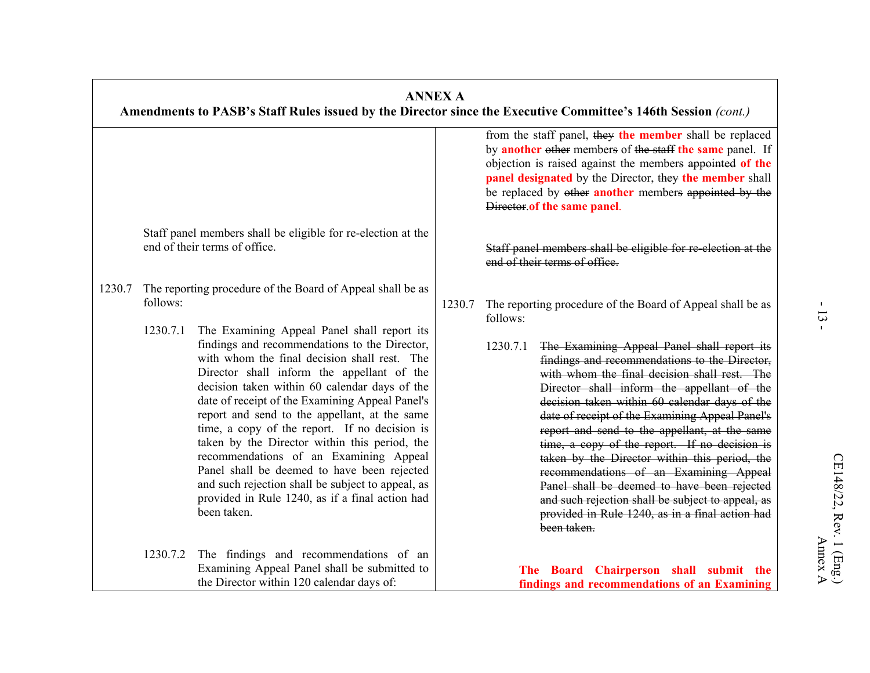|        |                      |                                                                                                                                                                                                                                                                                                                                                                                                                                                                                                                                                                                                                                                                                                                                 | <b>ANNEX A</b>                                                                                                                                                                                                                                                                                                                     | Amendments to PASB's Staff Rules issued by the Director since the Executive Committee's 146th Session (cont.)                                                                                                                                                                                                                                                                                                                                                                                                                                                                                                                                                                                                                                           |  |  |  |
|--------|----------------------|---------------------------------------------------------------------------------------------------------------------------------------------------------------------------------------------------------------------------------------------------------------------------------------------------------------------------------------------------------------------------------------------------------------------------------------------------------------------------------------------------------------------------------------------------------------------------------------------------------------------------------------------------------------------------------------------------------------------------------|------------------------------------------------------------------------------------------------------------------------------------------------------------------------------------------------------------------------------------------------------------------------------------------------------------------------------------|---------------------------------------------------------------------------------------------------------------------------------------------------------------------------------------------------------------------------------------------------------------------------------------------------------------------------------------------------------------------------------------------------------------------------------------------------------------------------------------------------------------------------------------------------------------------------------------------------------------------------------------------------------------------------------------------------------------------------------------------------------|--|--|--|
|        |                      |                                                                                                                                                                                                                                                                                                                                                                                                                                                                                                                                                                                                                                                                                                                                 | from the staff panel, they the member shall be replaced<br>by another other members of the staff the same panel. If<br>objection is raised against the members appointed of the<br>panel designated by the Director, they the member shall<br>be replaced by other another members appointed by the<br>Director.of the same panel. |                                                                                                                                                                                                                                                                                                                                                                                                                                                                                                                                                                                                                                                                                                                                                         |  |  |  |
|        |                      | Staff panel members shall be eligible for re-election at the<br>end of their terms of office.                                                                                                                                                                                                                                                                                                                                                                                                                                                                                                                                                                                                                                   |                                                                                                                                                                                                                                                                                                                                    | Staff panel members shall be eligible for re-election at the<br>end of their terms of office.                                                                                                                                                                                                                                                                                                                                                                                                                                                                                                                                                                                                                                                           |  |  |  |
| 1230.7 | follows:<br>1230.7.1 | The reporting procedure of the Board of Appeal shall be as<br>The Examining Appeal Panel shall report its<br>findings and recommendations to the Director,<br>with whom the final decision shall rest. The<br>Director shall inform the appellant of the<br>decision taken within 60 calendar days of the<br>date of receipt of the Examining Appeal Panel's<br>report and send to the appellant, at the same<br>time, a copy of the report. If no decision is<br>taken by the Director within this period, the<br>recommendations of an Examining Appeal<br>Panel shall be deemed to have been rejected<br>and such rejection shall be subject to appeal, as<br>provided in Rule 1240, as if a final action had<br>been taken. | 1230.7                                                                                                                                                                                                                                                                                                                             | The reporting procedure of the Board of Appeal shall be as<br>follows:<br>The Examining Appeal Panel shall report its<br>1230.7.1<br>findings and recommendations to the Director,<br>with whom the final decision shall rest. The<br>Director shall inform the appellant of the<br>decision taken within 60 calendar days of the<br>date of receipt of the Examining Appeal Panel's<br>report and send to the appellant, at the same<br>time, a copy of the report. If no decision is<br>taken by the Director within this period, the<br>recommendations of an Examining Appeal<br>Panel shall be deemed to have been rejected<br>and such rejection shall be subject to appeal, as<br>provided in Rule 1240, as in a final action had<br>been taken. |  |  |  |
|        |                      | 1230.7.2 The findings and recommendations of an<br>Examining Appeal Panel shall be submitted to<br>the Director within 120 calendar days of:                                                                                                                                                                                                                                                                                                                                                                                                                                                                                                                                                                                    |                                                                                                                                                                                                                                                                                                                                    | The Board Chairperson shall submit the<br>findings and recommendations of an Examining                                                                                                                                                                                                                                                                                                                                                                                                                                                                                                                                                                                                                                                                  |  |  |  |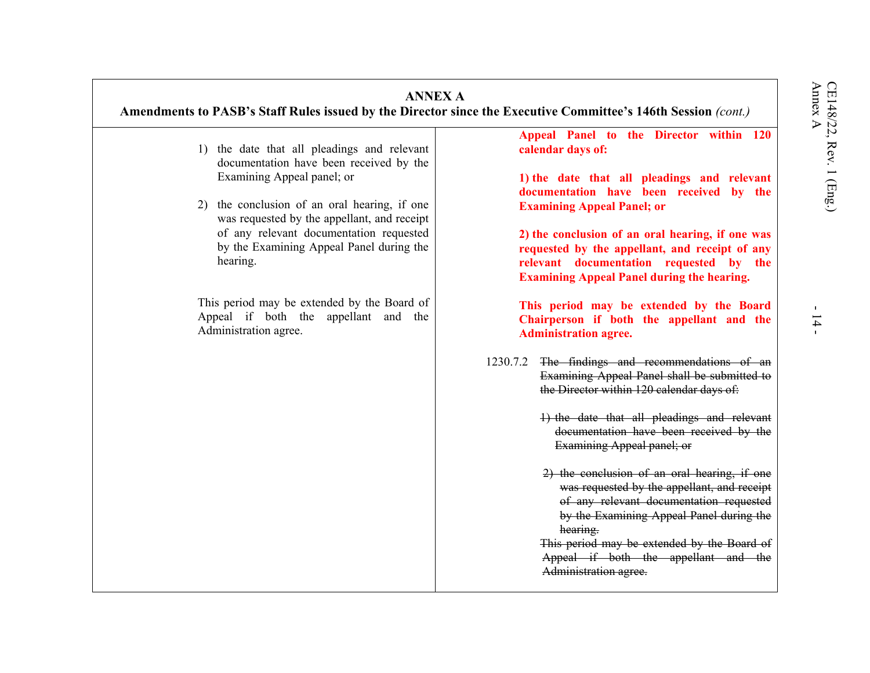| <b>ANNEX A</b><br>Amendments to PASB's Staff Rules issued by the Director since the Executive Committee's 146th Session (cont.)                                                                                                                                                                                                                                                                                                        |                                                                                                                                                                                                                                                                                                                                                                                                                                                                                                                                                                                                                                                                                                                                                                                                                                                                                                                                                                                                      |
|----------------------------------------------------------------------------------------------------------------------------------------------------------------------------------------------------------------------------------------------------------------------------------------------------------------------------------------------------------------------------------------------------------------------------------------|------------------------------------------------------------------------------------------------------------------------------------------------------------------------------------------------------------------------------------------------------------------------------------------------------------------------------------------------------------------------------------------------------------------------------------------------------------------------------------------------------------------------------------------------------------------------------------------------------------------------------------------------------------------------------------------------------------------------------------------------------------------------------------------------------------------------------------------------------------------------------------------------------------------------------------------------------------------------------------------------------|
| 1) the date that all pleadings and relevant<br>documentation have been received by the<br>Examining Appeal panel; or<br>2) the conclusion of an oral hearing, if one<br>was requested by the appellant, and receipt<br>of any relevant documentation requested<br>by the Examining Appeal Panel during the<br>hearing.<br>This period may be extended by the Board of<br>Appeal if both the appellant and the<br>Administration agree. | Appeal Panel to the Director within 120<br>calendar days of:<br>1) the date that all pleadings and relevant<br>documentation have been received by the<br><b>Examining Appeal Panel; or</b><br>2) the conclusion of an oral hearing, if one was<br>requested by the appellant, and receipt of any<br>relevant documentation requested by the<br><b>Examining Appeal Panel during the hearing.</b><br>This period may be extended by the Board<br>Chairperson if both the appellant and the<br><b>Administration agree.</b><br>1230.7.2 The findings and recommendations of an<br>Examining Appeal Panel shall be submitted to<br>the Director within 120 calendar days of:<br>1) the date that all pleadings and relevant<br>documentation have been received by the<br>Examining Appeal panel; or<br>2) the conclusion of an oral hearing, if one<br>was requested by the appellant, and receipt<br>of any relevant documentation requested<br>by the Examining Appeal Panel during the<br>hearing. |
|                                                                                                                                                                                                                                                                                                                                                                                                                                        | This period may be extended by the Board of<br>Appeal if both the appellant and the<br>Administration agree.                                                                                                                                                                                                                                                                                                                                                                                                                                                                                                                                                                                                                                                                                                                                                                                                                                                                                         |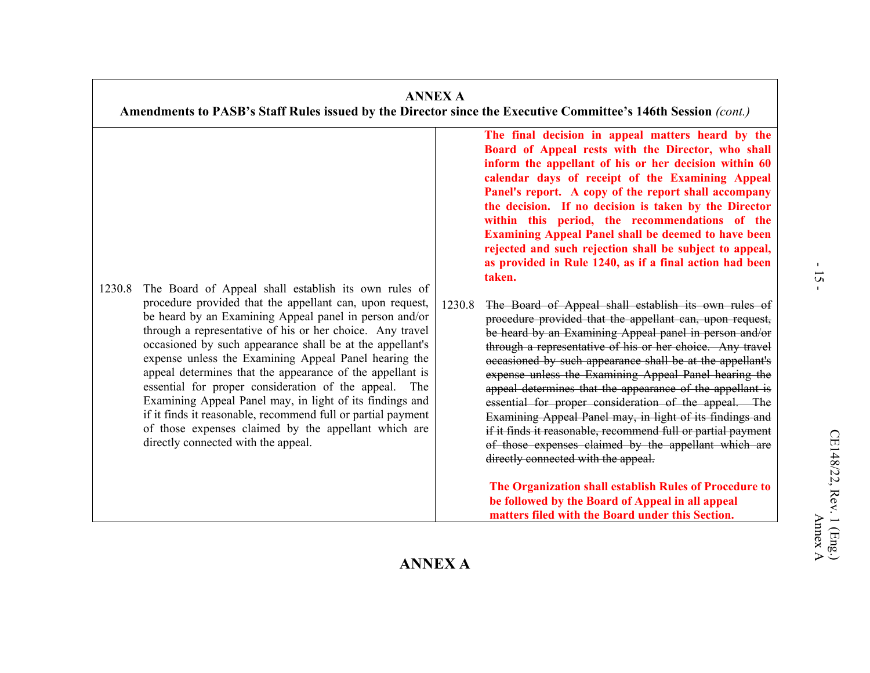### **ANNEX A Amendments to PASB's Staff Rules issued by the Director since the Executive Committee's 146th Session** *(cont.)* 1230.8 The Board of Appeal shall establish its own rules of procedure provided that the appellant can, upon request, be heard by an Examining Appeal panel in person and/or through a representative of his or her choice. Any travel occasioned by such appearance shall be at the appellant's expense unless the Examining Appeal Panel hearing the appeal determines that the appearance of the appellant is essential for proper consideration of the appeal. The Examining Appeal Panel may, in light of its findings and if it finds it reasonable, recommend full or partial payment of those expenses claimed by the appellant which are directly connected with the appeal. **The final decision in appeal matters heard by the Board of Appeal rests with the Director, who shall inform the appellant of his or her decision within 60 calendar days of receipt of the Examining Appeal Panel's report. A copy of the report shall accompany the decision. If no decision is taken by the Director within this period, the recommendations of the Examining Appeal Panel shall be deemed to have been rejected and such rejection shall be subject to appeal, as provided in Rule 1240, as if a final action had been taken.** 1230.8 The Board of Appeal shall establish its own rules of procedure provided that the appellant can, upon request, be heard by an Examining Appeal panel in person and/or through a representative of his or her choice. Any travel occasioned by such appearance shall be at the appellant's expense unless the Examining Appeal Panel hearing the appeal determines that the appearance of the appellant is essential for proper consideration of the appeal. The Examining Appeal Panel may, in light of its findings and if it finds it reasonable, recommend full or partial payment of those expenses claimed by the appellant which are directly connected with the appeal. **The Organization shall establish Rules of Procedure to be followed by the Board of Appeal in all appeal matters filed with the Board under this Section.**

# **ANNEX A**

Annex A

51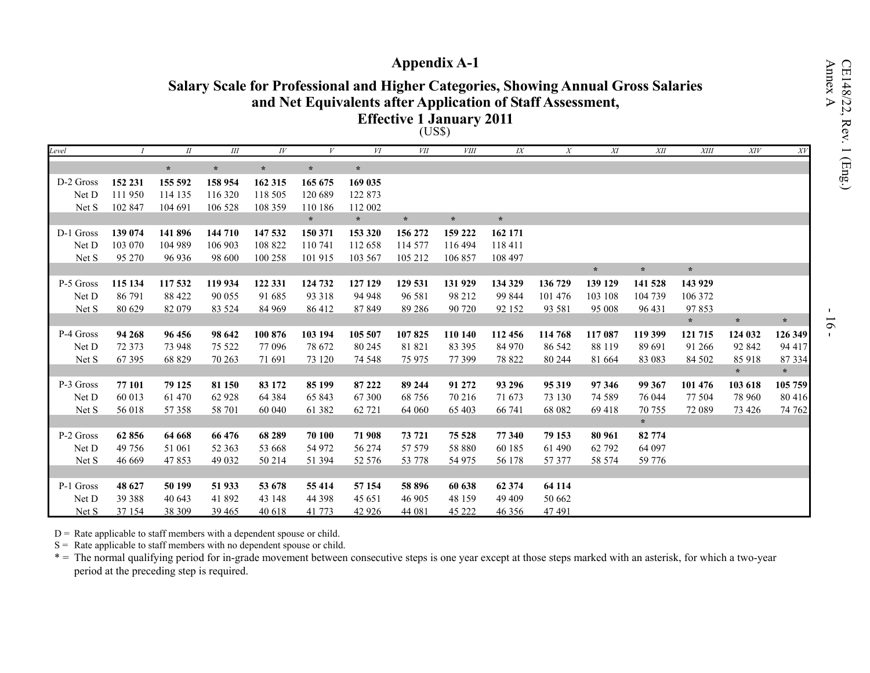# **Appendix A-1**

# **Salary Scale for Professional and Higher Categories, Showing Annual Gross Salaries and Net Equivalents after Application of Staff Assessment,**

**Effective 1 January 2011**

| ℩<br>J'<br>I<br>18.J<br>ħ |  |
|---------------------------|--|
|---------------------------|--|

| Level     |         | $I\!I$  | $I\!I\!I$ | $I\hspace{-.1em}V$ |         | VI      | $V\!I\!I$ | $V\!I\!I\!I$ | I X     | $\boldsymbol{X}$ | $X\!I$  | XII     | <b>XIII</b> | XIV     | XV      |
|-----------|---------|---------|-----------|--------------------|---------|---------|-----------|--------------|---------|------------------|---------|---------|-------------|---------|---------|
|           |         | $\star$ | $\star$   | $\star$            | $\star$ | $\star$ |           |              |         |                  |         |         |             |         |         |
| D-2 Gross | 152 231 | 155 592 | 158 954   | 162 315            | 165 675 | 169 035 |           |              |         |                  |         |         |             |         |         |
| Net D     | 111 950 | 114 135 | 116 320   | 118 505            | 120 689 | 122 873 |           |              |         |                  |         |         |             |         |         |
| Net S     | 102 847 | 104 691 | 106 528   | 108 359            | 110 186 | 112 002 |           |              |         |                  |         |         |             |         |         |
|           |         |         |           |                    | $\star$ | $\star$ | $\star$   | $\star$      | $\star$ |                  |         |         |             |         |         |
| D-1 Gross | 139 074 | 141 896 | 144 710   | 147 532            | 150 371 | 153 320 | 156 272   | 159 222      | 162 171 |                  |         |         |             |         |         |
| Net D     | 103 070 | 104 989 | 106 903   | 108 822            | 110 741 | 112 658 | 114 577   | 116 494      | 118 411 |                  |         |         |             |         |         |
| Net S     | 95 270  | 96 936  | 98 600    | 100 258            | 101 915 | 103 567 | 105 212   | 106 857      | 108 497 |                  |         |         |             |         |         |
|           |         |         |           |                    |         |         |           |              |         |                  | $\star$ | $\star$ | $\star$     |         |         |
| P-5 Gross | 115 134 | 117 532 | 119 934   | 122 331            | 124 732 | 127 129 | 129 531   | 131 929      | 134 329 | 136 729          | 139 129 | 141 528 | 143 929     |         |         |
| Net D     | 86 791  | 88 422  | 90 055    | 91 685             | 93 318  | 94 948  | 96 581    | 98 212       | 99 844  | 101 476          | 103 108 | 104 739 | 106 372     |         |         |
| Net S     | 80 629  | 82 079  | 83 5 24   | 84 969             | 86 412  | 87849   | 89 28 6   | 90 720       | 92 152  | 93 581           | 95 008  | 96 431  | 97853       |         |         |
|           |         |         |           |                    |         |         |           |              |         |                  |         |         | $\star$     | $\star$ | $\star$ |
| P-4 Gross | 94 268  | 96 456  | 98 642    | 100 876            | 103 194 | 105 507 | 107825    | 110 140      | 112 456 | 114 768          | 117 087 | 119 399 | 121 715     | 124 032 | 126 349 |
| Net D     | 72 373  | 73 948  | 75 5 22   | 77 096             | 78 672  | 80 245  | 81 821    | 83 395       | 84 970  | 86 542           | 88 119  | 89 691  | 91 26 6     | 92 842  | 94 417  |
| Net S     | 67 39 5 | 68 829  | 70 263    | 71 691             | 73 120  | 74 548  | 75 975    | 77 399       | 78 822  | 80 244           | 81 664  | 83 083  | 84 502      | 85 918  | 87 334  |
|           |         |         |           |                    |         |         |           |              |         |                  |         |         |             | $\star$ | $\star$ |
| P-3 Gross | 77 101  | 79 125  | 81 150    | 83 172             | 85 199  | 87 222  | 89 244    | 91 272       | 93 29 6 | 95 319           | 97 346  | 99 367  | 101 476     | 103 618 | 105 759 |
| Net D     | 60 013  | 61 470  | 62 928    | 64 3 84            | 65 843  | 67 300  | 68 756    | 70 216       | 71 673  | 73 130           | 74 5 89 | 76 044  | 77 504      | 78 960  | 80 416  |
| Net S     | 56 018  | 57 358  | 58 701    | 60 040             | 61 382  | 62 721  | 64 060    | 65 403       | 66 741  | 68 082           | 69418   | 70 755  | 72 089      | 73 4 26 | 74 762  |
|           |         |         |           |                    |         |         |           |              |         |                  |         | $\star$ |             |         |         |
| P-2 Gross | 62 856  | 64 668  | 66 476    | 68 289             | 70 100  | 71 908  | 73 721    | 75 5 28      | 77 340  | 79 153           | 80 961  | 82 774  |             |         |         |
| Net D     | 49 756  | 51 061  | 52 363    | 53 668             | 54 972  | 56 274  | 57 579    | 58 880       | 60 185  | 61 490           | 62 792  | 64 097  |             |         |         |
| Net S     | 46 669  | 47853   | 49 0 32   | 50 214             | 51 394  | 52 576  | 53 778    | 54 975       | 56 178  | 57 377           | 58 574  | 59 776  |             |         |         |
|           |         |         |           |                    |         |         |           |              |         |                  |         |         |             |         |         |
| P-1 Gross | 48 627  | 50 199  | 51 933    | 53 678             | 55 414  | 57 154  | 58 896    | 60 638       | 62 374  | 64 114           |         |         |             |         |         |
| Net D     | 39 388  | 40 643  | 41 892    | 43 148             | 44 3 98 | 45 651  | 46 905    | 48 159       | 49 409  | 50 662           |         |         |             |         |         |
| Net S     | 37 154  | 38 309  | 39 4 65   | 40 618             | 41 773  | 42 9 26 | 44 081    | 45 222       | 46 35 6 | 47 491           |         |         |             |         |         |

 $D =$  Rate applicable to staff members with a dependent spouse or child.

S = Rate applicable to staff members with no dependent spouse or child.

 $*$  = The normal qualifying period for in-grade movement between consecutive steps is one year except at those steps marked with an asterisk, for which a two-year period at the preceding step is required.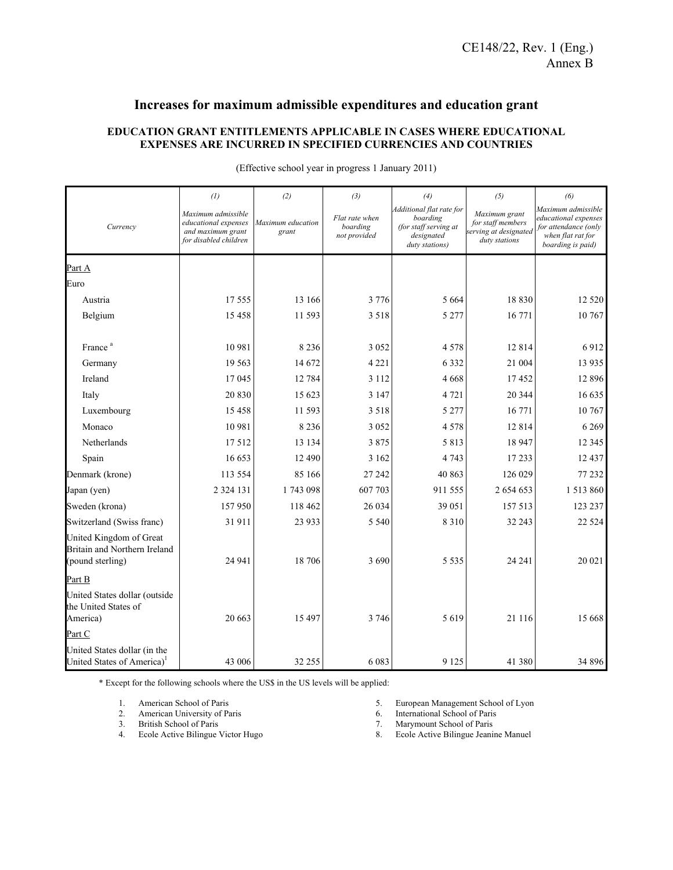## **Increases for maximum admissible expenditures and education grant**

### **EDUCATION GRANT ENTITLEMENTS APPLICABLE IN CASES WHERE EDUCATIONAL EXPENSES ARE INCURRED IN SPECIFIED CURRENCIES AND COUNTRIES**

|                                                                             | $\left( l\right)$                                                                        | (2)                        | (3)                                        | (4)                                                                                           | (5)                                                                          | (6)<br>Maximum admissible<br>educational expenses<br>for attendance (only<br>when flat rat for<br>boarding is paid) |  |
|-----------------------------------------------------------------------------|------------------------------------------------------------------------------------------|----------------------------|--------------------------------------------|-----------------------------------------------------------------------------------------------|------------------------------------------------------------------------------|---------------------------------------------------------------------------------------------------------------------|--|
| Currency                                                                    | Maximum admissible<br>educational expenses<br>and maximum grant<br>for disabled children | Maximum education<br>grant | Flat rate when<br>boarding<br>not provided | Additional flat rate for<br>boarding<br>(for staff serving at<br>designated<br>duty stations) | Maximum grant<br>for staff members<br>serving at designated<br>duty stations |                                                                                                                     |  |
| Part A                                                                      |                                                                                          |                            |                                            |                                                                                               |                                                                              |                                                                                                                     |  |
| Euro                                                                        |                                                                                          |                            |                                            |                                                                                               |                                                                              |                                                                                                                     |  |
| Austria                                                                     | 17555                                                                                    | 13 16 6                    | 3 7 7 6                                    | 5 6 6 4                                                                                       | 18 8 3 0                                                                     | 12 5 20                                                                                                             |  |
| Belgium                                                                     | 15458                                                                                    | 11 593                     | 3 5 1 8                                    | 5 2 7 7                                                                                       | 16 771                                                                       | 10 767                                                                                                              |  |
| France <sup>a</sup>                                                         | 10 981                                                                                   | 8 2 3 6                    | 3 0 5 2                                    | 4578                                                                                          | 12814                                                                        | 6912                                                                                                                |  |
| Germany                                                                     | 19 5 63                                                                                  | 14 672                     | 4 2 2 1                                    | 6 3 3 2                                                                                       | 21 004                                                                       | 13 9 35                                                                                                             |  |
| Ireland                                                                     | 17 045                                                                                   | 12 784                     | 3 1 1 2                                    | 4668                                                                                          | 17452                                                                        | 12 8 9 6                                                                                                            |  |
| Italy                                                                       | 20 830                                                                                   | 15 623                     | 3 1 4 7                                    | 4 7 2 1                                                                                       | 20 344                                                                       | 16 635                                                                                                              |  |
| Luxembourg                                                                  | 15 4 5 8                                                                                 | 11 593                     | 3 5 1 8                                    | 5 2 7 7                                                                                       | 16 771                                                                       | 10 767                                                                                                              |  |
| Monaco                                                                      | 10 981                                                                                   | 8 2 3 6                    | 3 0 5 2                                    | 4578                                                                                          | 12814                                                                        | 6 2 6 9                                                                                                             |  |
| Netherlands                                                                 | 17512                                                                                    | 13 134                     | 3875                                       | 5 8 1 3                                                                                       | 18 947                                                                       | 12 3 45                                                                                                             |  |
| Spain                                                                       | 16 653                                                                                   | 12 490                     | 3 1 6 2                                    | 4 7 4 3                                                                                       | 17 233                                                                       | 12 437                                                                                                              |  |
| Denmark (krone)                                                             | 113 554                                                                                  | 85 166                     | 27 24 2                                    | 40 863                                                                                        | 126 029                                                                      | 77 232                                                                                                              |  |
| Japan (yen)                                                                 | 2 3 2 4 1 3 1                                                                            | 1743 098                   | 607 703                                    | 911 555                                                                                       | 2 654 653                                                                    | 1513860                                                                                                             |  |
| Sweden (krona)                                                              | 157950                                                                                   | 118 462                    | 26 034                                     | 39 051                                                                                        | 157 513                                                                      | 123 237                                                                                                             |  |
| Switzerland (Swiss franc)                                                   | 31911                                                                                    | 23 933                     | 5 5 4 0                                    | 8 3 1 0                                                                                       | 32 243                                                                       | 22 5 24                                                                                                             |  |
| United Kingdom of Great<br>Britain and Northern Ireland<br>(pound sterling) | 24 941                                                                                   | 18 706                     | 3 6 9 0                                    | 5 5 3 5                                                                                       | 24 24 1                                                                      | 20 021                                                                                                              |  |
| Part B                                                                      |                                                                                          |                            |                                            |                                                                                               |                                                                              |                                                                                                                     |  |
| United States dollar (outside<br>the United States of<br>America)           | 20 663                                                                                   | 15 497                     | 3 7 4 6                                    | 5619                                                                                          | 21 116                                                                       | 15 668                                                                                                              |  |
| Part C                                                                      |                                                                                          |                            |                                            |                                                                                               |                                                                              |                                                                                                                     |  |
| United States dollar (in the<br>United States of America) <sup>1</sup>      | 43 006                                                                                   | 32 255                     | 6 0 8 3                                    | 9 1 2 5                                                                                       | 41 380                                                                       | 34 896                                                                                                              |  |

(Effective school year in progress 1 January 2011)

\* Except for the following schools where the US\$ in the US levels will be applied:

- 1. American School of Paris<br>2. American University of Pa
- American University of Paris
- 2. American University of<br>3. British School of Paris
- 4. Ecole Active Bilingue Victor Hugo
- 5. European Management School of Lyon<br>6. International School of Paris
- International School of Paris
- 7. Marymount School of Paris<br>8. Ecole Active Bilingue Jeanis
- Ecole Active Bilingue Jeanine Manuel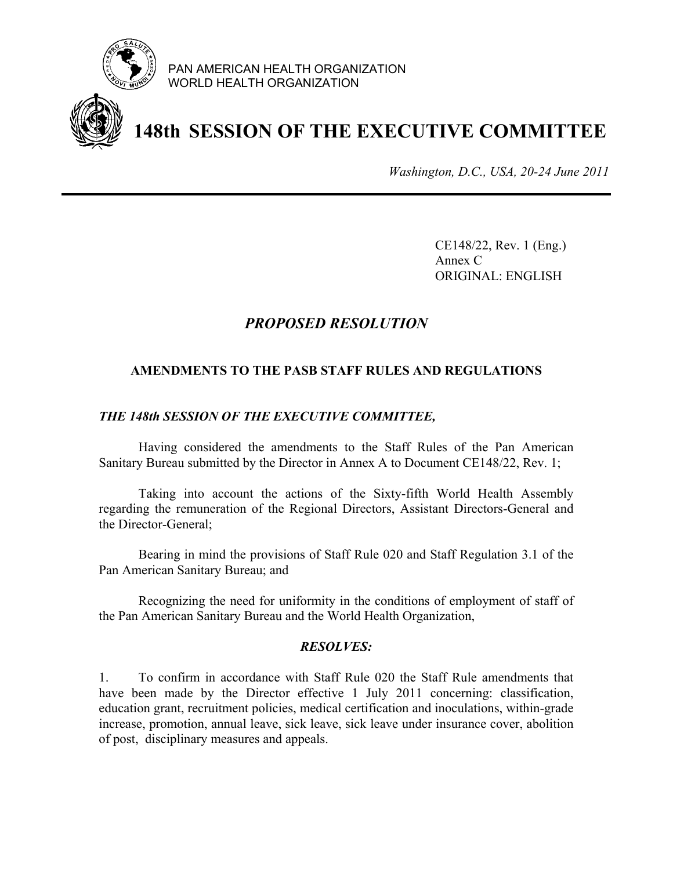

PAN AMERICAN HEALTH ORGANIZATION WORLD HEALTH ORGANIZATION

# **148th SESSION OF THE EXECUTIVE COMMITTEE**

*Washington, D.C., USA, 20-24 June 2011*

 CE148/22, Rev. 1 (Eng.) Annex C ORIGINAL: ENGLISH

# *PROPOSED RESOLUTION*

### **AMENDMENTS TO THE PASB STAFF RULES AND REGULATIONS**

### *THE 148th SESSION OF THE EXECUTIVE COMMITTEE,*

Having considered the amendments to the Staff Rules of the Pan American Sanitary Bureau submitted by the Director in Annex A to Document CE148/22, Rev. 1;

Taking into account the actions of the Sixty-fifth World Health Assembly regarding the remuneration of the Regional Directors, Assistant Directors-General and the Director-General;

Bearing in mind the provisions of Staff Rule 020 and Staff Regulation 3.1 of the Pan American Sanitary Bureau; and

Recognizing the need for uniformity in the conditions of employment of staff of the Pan American Sanitary Bureau and the World Health Organization,

### *RESOLVES:*

1. To confirm in accordance with Staff Rule 020 the Staff Rule amendments that have been made by the Director effective 1 July 2011 concerning: classification, education grant, recruitment policies, medical certification and inoculations, within-grade increase, promotion, annual leave, sick leave, sick leave under insurance cover, abolition of post, disciplinary measures and appeals.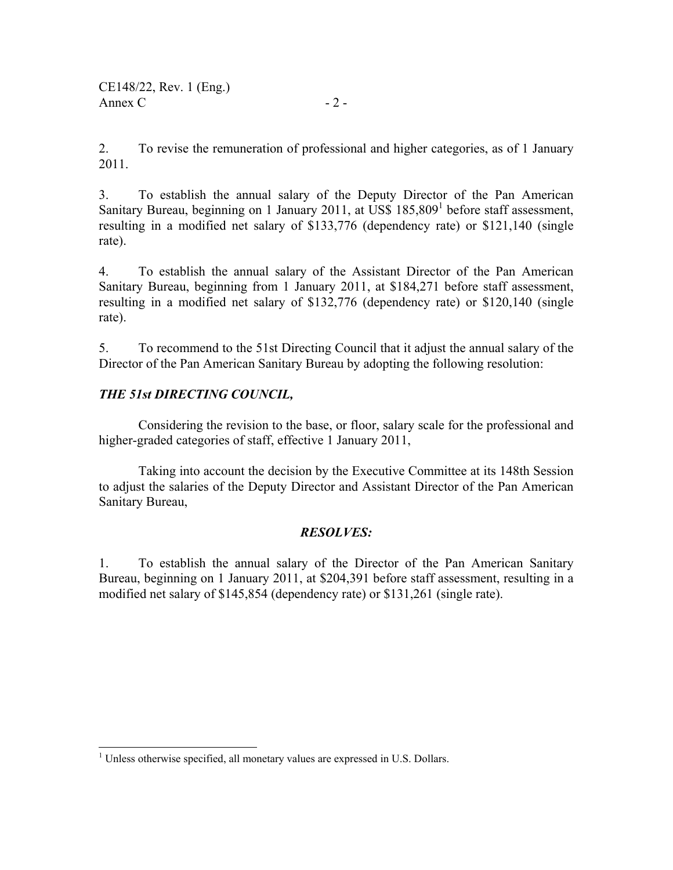2. To revise the remuneration of professional and higher categories, as of 1 January 2011.

3. To establish the annual salary of the Deputy Director of the Pan American Sanitary Bureau, beginning on 1 January 2011, at US\$ 185,809<sup>1</sup> before staff assessment, resulting in a modified net salary of \$133,776 (dependency rate) or \$121,140 (single rate).

4. To establish the annual salary of the Assistant Director of the Pan American Sanitary Bureau, beginning from 1 January 2011, at \$184,271 before staff assessment, resulting in a modified net salary of \$132,776 (dependency rate) or \$120,140 (single rate).

5. To recommend to the 51st Directing Council that it adjust the annual salary of the Director of the Pan American Sanitary Bureau by adopting the following resolution:

# *THE 51st DIRECTING COUNCIL,*

 $\overline{\phantom{a}}$ 

Considering the revision to the base, or floor, salary scale for the professional and higher-graded categories of staff, effective 1 January 2011,

Taking into account the decision by the Executive Committee at its 148th Session to adjust the salaries of the Deputy Director and Assistant Director of the Pan American Sanitary Bureau,

### *RESOLVES:*

1. To establish the annual salary of the Director of the Pan American Sanitary Bureau, beginning on 1 January 2011, at \$204,391 before staff assessment, resulting in a modified net salary of \$145,854 (dependency rate) or \$131,261 (single rate).

 $<sup>1</sup>$  Unless otherwise specified, all monetary values are expressed in U.S. Dollars.</sup>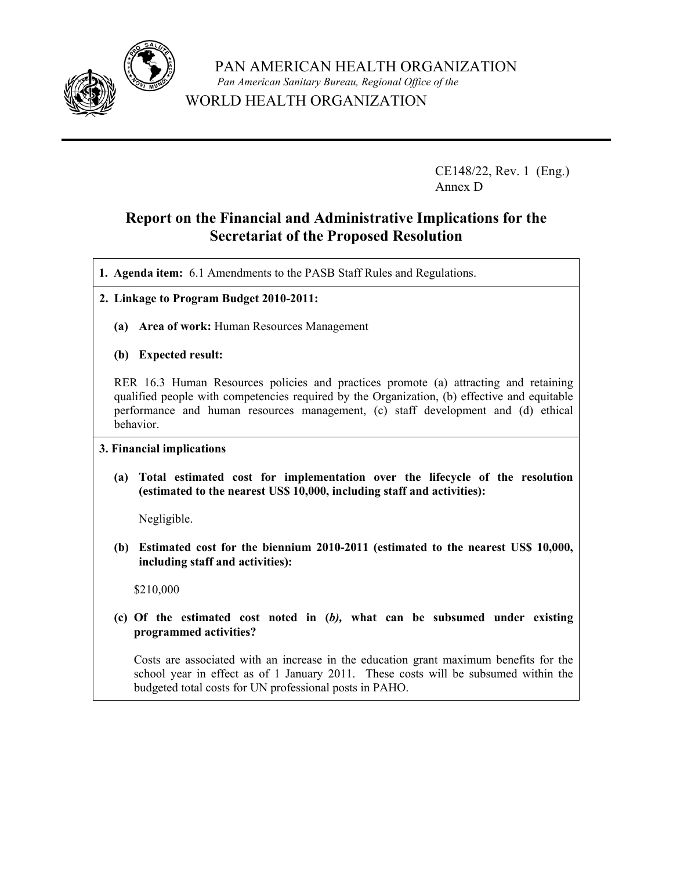

 PAN AMERICAN HEALTH ORGANIZATION  *Pan American Sanitary Bureau, Regional Office of the* WORLD HEALTH ORGANIZATION

> CE148/22, Rev. 1 (Eng.) Annex D

# **Report on the Financial and Administrative Implications for the Secretariat of the Proposed Resolution**

**1. Agenda item:** 6.1 Amendments to the PASB Staff Rules and Regulations.

- **2. Linkage to Program Budget 2010-2011:** 
	- **(a) Area of work:** Human Resources Management
	- **(b) Expected result:**

RER 16.3 Human Resources policies and practices promote (a) attracting and retaining qualified people with competencies required by the Organization, (b) effective and equitable performance and human resources management, (c) staff development and (d) ethical behavior.

### **3. Financial implications**

 **(a) Total estimated cost for implementation over the lifecycle of the resolution (estimated to the nearest US\$ 10,000, including staff and activities):** 

Negligible.

 **(b) Estimated cost for the biennium 2010-2011 (estimated to the nearest US\$ 10,000, including staff and activities):**

\$210,000

**(c) Of the estimated cost noted in (***b),* **what can be subsumed under existing programmed activities?** 

Costs are associated with an increase in the education grant maximum benefits for the school year in effect as of 1 January 2011. These costs will be subsumed within the budgeted total costs for UN professional posts in PAHO.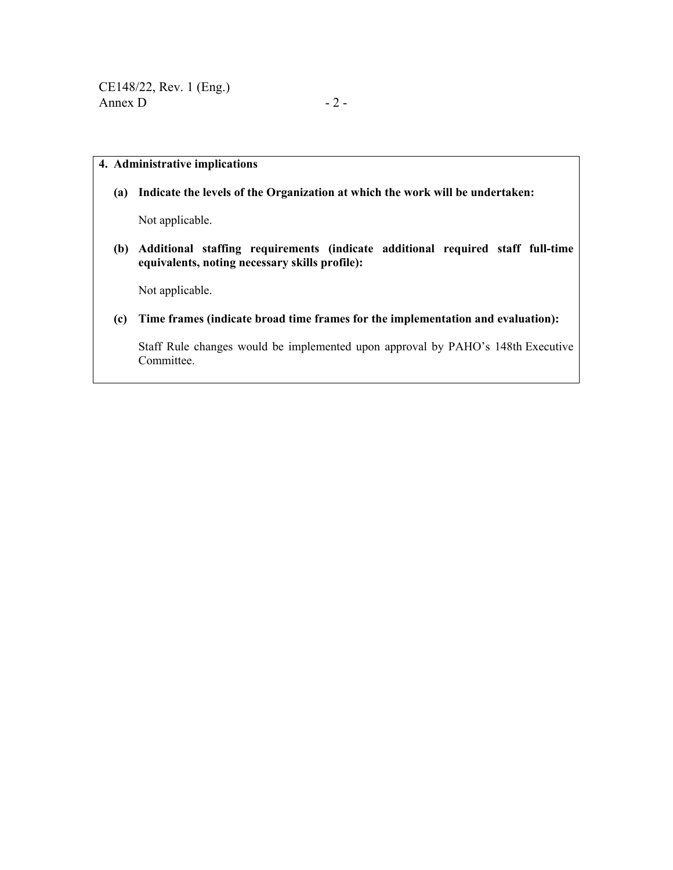### **4. Administrative implications**

 **(a) Indicate the levels of the Organization at which the work will be undertaken:**

Not applicable.

 **(b) Additional staffing requirements (indicate additional required staff full-time equivalents, noting necessary skills profile):** 

Not applicable.

 **(c) Time frames (indicate broad time frames for the implementation and evaluation):** 

Staff Rule changes would be implemented upon approval by PAHO's 148th Executive Committee.